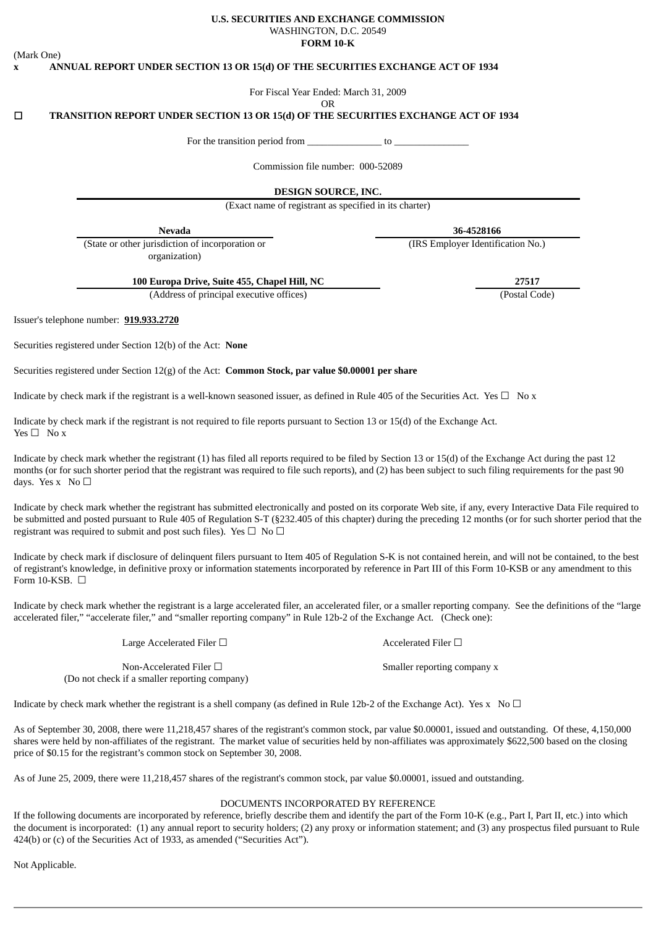## (Mark One)

#### **U.S. SECURITIES AND EXCHANGE COMMISSION** WASHINGTON, D.C. 20549 **FORM 10-K**

**x ANNUAL REPORT UNDER SECTION 13 OR 15(d) OF THE SECURITIES EXCHANGE ACT OF 1934**

For Fiscal Year Ended: March 31, 2009

OR

## ☐ **TRANSITION REPORT UNDER SECTION 13 OR 15(d) OF THE SECURITIES EXCHANGE ACT OF 1934**

For the transition period from  $\qquad \qquad$  to  $\qquad \qquad$ 

Commission file number: 000-52089

**DESIGN SOURCE, INC.**

(Exact name of registrant as specified in its charter)

(State or other jurisdiction of incorporation or organization)

**Nevada 36-4528166**

(IRS Employer Identification No.)

**100 Europa Drive, Suite 455, Chapel Hill, NC 27517**

(Address of principal executive offices) (Postal Code)

Issuer's telephone number: **919.933.2720**

Securities registered under Section 12(b) of the Act: **None**

Securities registered under Section 12(g) of the Act: **Common Stock, par value \$0.00001 per share**

Indicate by check mark if the registrant is a well-known seasoned issuer, as defined in Rule 405 of the Securities Act. Yes  $\Box$  No x

Indicate by check mark if the registrant is not required to file reports pursuant to Section 13 or 15(d) of the Exchange Act. Yes  $\square$  No x

Indicate by check mark whether the registrant (1) has filed all reports required to be filed by Section 13 or 15(d) of the Exchange Act during the past 12 months (or for such shorter period that the registrant was required to file such reports), and (2) has been subject to such filing requirements for the past 90 days. Yes  $x \ No \Box$ 

Indicate by check mark whether the registrant has submitted electronically and posted on its corporate Web site, if any, every Interactive Data File required to be submitted and posted pursuant to Rule 405 of Regulation S-T (§232.405 of this chapter) during the preceding 12 months (or for such shorter period that the registrant was required to submit and post such files). Yes  $\Box$  No  $\Box$ 

Indicate by check mark if disclosure of delinquent filers pursuant to Item 405 of Regulation S-K is not contained herein, and will not be contained, to the best of registrant's knowledge, in definitive proxy or information statements incorporated by reference in Part III of this Form 10-KSB or any amendment to this Form 10-KSB.  $\Box$ 

Indicate by check mark whether the registrant is a large accelerated filer, an accelerated filer, or a smaller reporting company. See the definitions of the "large accelerated filer," "accelerate filer," and "smaller reporting company" in Rule 12b-2 of the Exchange Act. (Check one):

Large Accelerated Filer □ <br>
Accelerated Filer □

Non-Accelerated Filer □ state of the Smaller reporting company x (Do not check if a smaller reporting company)

Indicate by check mark whether the registrant is a shell company (as defined in Rule 12b-2 of the Exchange Act). Yes  $x \to 0$ 

As of September 30, 2008, there were 11,218,457 shares of the registrant's common stock, par value \$0.00001, issued and outstanding. Of these, 4,150,000 shares were held by non-affiliates of the registrant. The market value of securities held by non-affiliates was approximately \$622,500 based on the closing price of \$0.15 for the registrant's common stock on September 30, 2008.

As of June 25, 2009, there were 11,218,457 shares of the registrant's common stock, par value \$0.00001, issued and outstanding.

#### DOCUMENTS INCORPORATED BY REFERENCE

If the following documents are incorporated by reference, briefly describe them and identify the part of the Form 10-K (e.g., Part I, Part II, etc.) into which the document is incorporated: (1) any annual report to security holders; (2) any proxy or information statement; and (3) any prospectus filed pursuant to Rule 424(b) or (c) of the Securities Act of 1933, as amended ("Securities Act").

Not Applicable.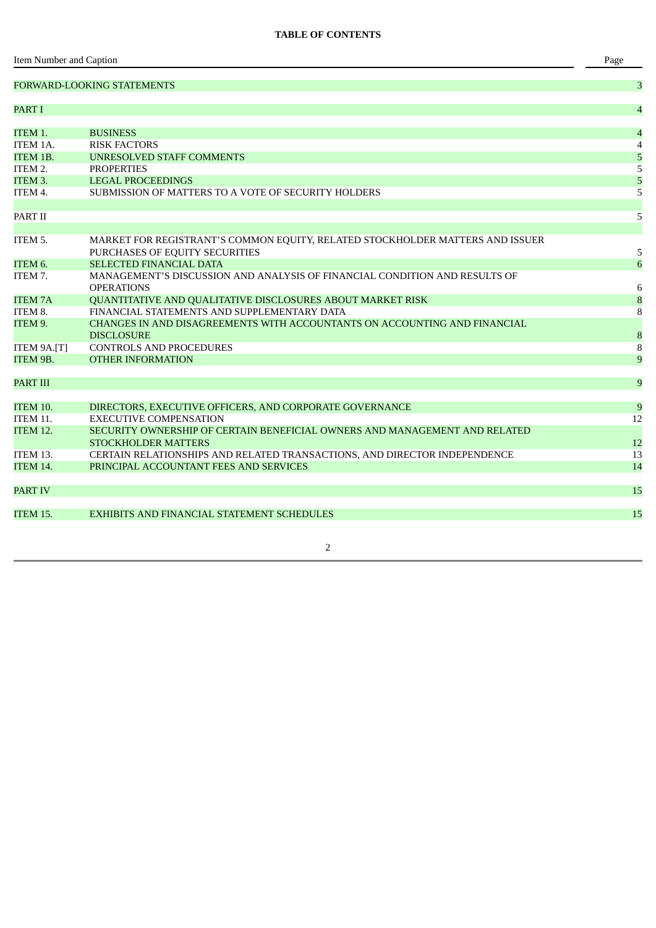|                     | <b>FORWARD-LOOKING STATEMENTS</b>                                             | 3                |
|---------------------|-------------------------------------------------------------------------------|------------------|
| PART I              |                                                                               | $\overline{4}$   |
|                     |                                                                               |                  |
| ITEM 1.             | <b>BUSINESS</b>                                                               | $\overline{4}$   |
| ITEM 1A.            | <b>RISK FACTORS</b>                                                           | 4                |
| <b>ITEM 1B.</b>     | <b>UNRESOLVED STAFF COMMENTS</b>                                              | 5                |
| ITEM 2.             | <b>PROPERTIES</b>                                                             | $\mathsf S$      |
| ITEM <sub>3</sub> . | <b>LEGAL PROCEEDINGS</b>                                                      | 5                |
| ITEM 4.             | SUBMISSION OF MATTERS TO A VOTE OF SECURITY HOLDERS                           | $\overline{5}$   |
| PART II             |                                                                               | 5                |
|                     |                                                                               |                  |
| ITEM 5.             | MARKET FOR REGISTRANT'S COMMON EQUITY, RELATED STOCKHOLDER MATTERS AND ISSUER |                  |
| ITEM <sub>6</sub> . | PURCHASES OF EQUITY SECURITIES<br><b>SELECTED FINANCIAL DATA</b>              | 5<br>6           |
| ITEM 7.             | MANAGEMENT'S DISCUSSION AND ANALYSIS OF FINANCIAL CONDITION AND RESULTS OF    |                  |
|                     | <b>OPERATIONS</b>                                                             | 6                |
| <b>ITEM 7A</b>      | QUANTITATIVE AND QUALITATIVE DISCLOSURES ABOUT MARKET RISK                    | 8                |
| ITEM 8.             | FINANCIAL STATEMENTS AND SUPPLEMENTARY DATA                                   | 8                |
| ITEM 9.             | CHANGES IN AND DISAGREEMENTS WITH ACCOUNTANTS ON ACCOUNTING AND FINANCIAL     |                  |
|                     | <b>DISCLOSURE</b>                                                             | $\boldsymbol{8}$ |
| ITEM 9A.[T]         | <b>CONTROLS AND PROCEDURES</b>                                                | 8                |
| ITEM 9B.            | <b>OTHER INFORMATION</b>                                                      | 9                |
| PART III            |                                                                               | 9                |
|                     |                                                                               |                  |
| ITEM 10.            | DIRECTORS, EXECUTIVE OFFICERS, AND CORPORATE GOVERNANCE                       | 9                |
| ITEM 11.            | <b>EXECUTIVE COMPENSATION</b>                                                 | 12               |
| <b>ITEM 12.</b>     | SECURITY OWNERSHIP OF CERTAIN BENEFICIAL OWNERS AND MANAGEMENT AND RELATED    |                  |
|                     | <b>STOCKHOLDER MATTERS</b>                                                    | 12               |
| ITEM 13.            | CERTAIN RELATIONSHIPS AND RELATED TRANSACTIONS, AND DIRECTOR INDEPENDENCE     | 13               |
| <b>ITEM 14.</b>     | PRINCIPAL ACCOUNTANT FEES AND SERVICES                                        | 14               |
| PART IV             |                                                                               | 15               |
|                     |                                                                               |                  |
| ITEM 15.            | EXHIBITS AND FINANCIAL STATEMENT SCHEDULES                                    | 15               |
|                     |                                                                               |                  |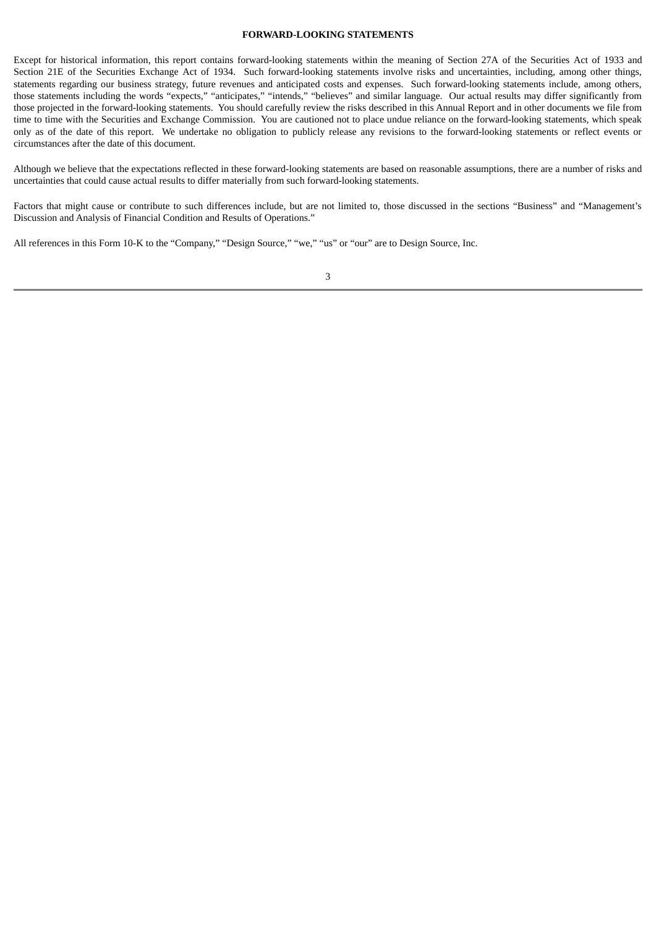## **FORWARD-LOOKING STATEMENTS**

Except for historical information, this report contains forward-looking statements within the meaning of Section 27A of the Securities Act of 1933 and Section 21E of the Securities Exchange Act of 1934. Such forward-looking statements involve risks and uncertainties, including, among other things, statements regarding our business strategy, future revenues and anticipated costs and expenses. Such forward-looking statements include, among others, those statements including the words "expects," "anticipates," "intends," "believes" and similar language. Our actual results may differ significantly from those projected in the forward-looking statements. You should carefully review the risks described in this Annual Report and in other documents we file from time to time with the Securities and Exchange Commission. You are cautioned not to place undue reliance on the forward-looking statements, which speak only as of the date of this report. We undertake no obligation to publicly release any revisions to the forward-looking statements or reflect events or circumstances after the date of this document.

Although we believe that the expectations reflected in these forward-looking statements are based on reasonable assumptions, there are a number of risks and uncertainties that could cause actual results to differ materially from such forward-looking statements.

Factors that might cause or contribute to such differences include, but are not limited to, those discussed in the sections "Business" and "Management's Discussion and Analysis of Financial Condition and Results of Operations."

All references in this Form 10-K to the "Company," "Design Source," "we," "us" or "our" are to Design Source, Inc.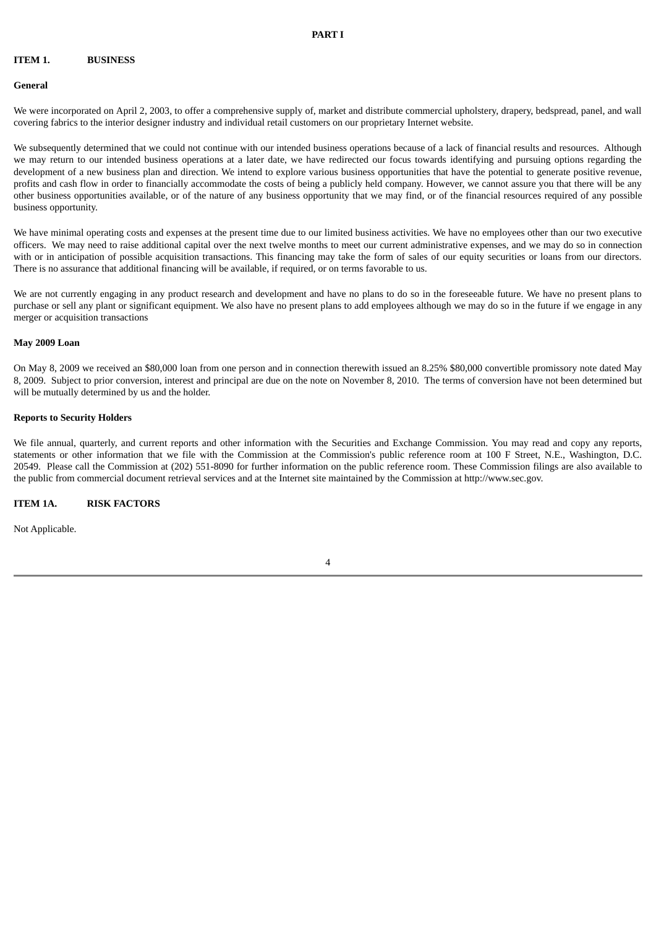#### **ITEM 1. BUSINESS**

#### **General**

We were incorporated on April 2, 2003, to offer a comprehensive supply of, market and distribute commercial upholstery, drapery, bedspread, panel, and wall covering fabrics to the interior designer industry and individual retail customers on our proprietary Internet website.

We subsequently determined that we could not continue with our intended business operations because of a lack of financial results and resources. Although we may return to our intended business operations at a later date, we have redirected our focus towards identifying and pursuing options regarding the development of a new business plan and direction. We intend to explore various business opportunities that have the potential to generate positive revenue, profits and cash flow in order to financially accommodate the costs of being a publicly held company. However, we cannot assure you that there will be any other business opportunities available, or of the nature of any business opportunity that we may find, or of the financial resources required of any possible business opportunity.

We have minimal operating costs and expenses at the present time due to our limited business activities. We have no employees other than our two executive officers. We may need to raise additional capital over the next twelve months to meet our current administrative expenses, and we may do so in connection with or in anticipation of possible acquisition transactions. This financing may take the form of sales of our equity securities or loans from our directors. There is no assurance that additional financing will be available, if required, or on terms favorable to us.

We are not currently engaging in any product research and development and have no plans to do so in the foreseeable future. We have no present plans to purchase or sell any plant or significant equipment. We also have no present plans to add employees although we may do so in the future if we engage in any merger or acquisition transactions

#### **May 2009 Loan**

On May 8, 2009 we received an \$80,000 loan from one person and in connection therewith issued an 8.25% \$80,000 convertible promissory note dated May 8, 2009. Subject to prior conversion, interest and principal are due on the note on November 8, 2010. The terms of conversion have not been determined but will be mutually determined by us and the holder.

## **Reports to Security Holders**

We file annual, quarterly, and current reports and other information with the Securities and Exchange Commission. You may read and copy any reports, statements or other information that we file with the Commission at the Commission's public reference room at 100 F Street, N.E., Washington, D.C. 20549. Please call the Commission at (202) 551-8090 for further information on the public reference room. These Commission filings are also available to the public from commercial document retrieval services and at the Internet site maintained by the Commission at http://www.sec.gov.

#### **ITEM 1A. RISK FACTORS**

Not Applicable.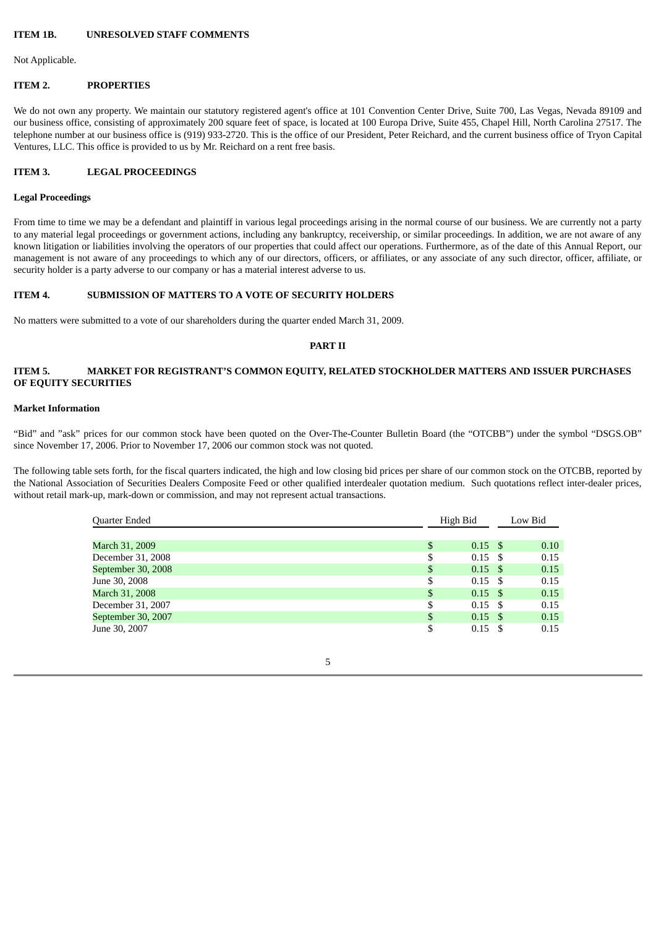#### **ITEM 1B. UNRESOLVED STAFF COMMENTS**

Not Applicable.

#### **ITEM 2. PROPERTIES**

We do not own any property. We maintain our statutory registered agent's office at 101 Convention Center Drive, Suite 700, Las Vegas, Nevada 89109 and our business office, consisting of approximately 200 square feet of space, is located at 100 Europa Drive, Suite 455, Chapel Hill, North Carolina 27517. The telephone number at our business office is (919) 933-2720. This is the office of our President, Peter Reichard, and the current business office of Tryon Capital Ventures, LLC. This office is provided to us by Mr. Reichard on a rent free basis.

#### **ITEM 3. LEGAL PROCEEDINGS**

#### **Legal Proceedings**

From time to time we may be a defendant and plaintiff in various legal proceedings arising in the normal course of our business. We are currently not a party to any material legal proceedings or government actions, including any bankruptcy, receivership, or similar proceedings. In addition, we are not aware of any known litigation or liabilities involving the operators of our properties that could affect our operations. Furthermore, as of the date of this Annual Report, our management is not aware of any proceedings to which any of our directors, officers, or affiliates, or any associate of any such director, officer, affiliate, or security holder is a party adverse to our company or has a material interest adverse to us.

## **ITEM 4. SUBMISSION OF MATTERS TO A VOTE OF SECURITY HOLDERS**

No matters were submitted to a vote of our shareholders during the quarter ended March 31, 2009.

#### **PART II**

## **ITEM 5. MARKET FOR REGISTRANT'S COMMON EQUITY, RELATED STOCKHOLDER MATTERS AND ISSUER PURCHASES OF EQUITY SECURITIES**

#### **Market Information**

"Bid" and "ask" prices for our common stock have been quoted on the Over-The-Counter Bulletin Board (the "OTCBB") under the symbol "DSGS.OB" since November 17, 2006. Prior to November 17, 2006 our common stock was not quoted.

The following table sets forth, for the fiscal quarters indicated, the high and low closing bid prices per share of our common stock on the OTCBB, reported by the National Association of Securities Dealers Composite Feed or other qualified interdealer quotation medium. Such quotations reflect inter-dealer prices, without retail mark-up, mark-down or commission, and may not represent actual transactions.

| Quarter Ended      | High Bid                 | Low Bid |      |  |
|--------------------|--------------------------|---------|------|--|
|                    |                          |         |      |  |
| March 31, 2009     | \$<br>$0.15$ \$          |         | 0.10 |  |
| December 31, 2008  | \$<br>$0.15$ \$          |         | 0.15 |  |
| September 30, 2008 | \$<br>$0.15$ \$          |         | 0.15 |  |
| June 30, 2008      | \$<br>$0.15 \text{ }$ \$ |         | 0.15 |  |
| March 31, 2008     | \$<br>$0.15$ \$          |         | 0.15 |  |
| December 31, 2007  | \$<br>$0.15 \text{ }$ \$ |         | 0.15 |  |
| September 30, 2007 | \$<br>$0.15 \text{ }$ \$ |         | 0.15 |  |
| June 30, 2007      | \$<br>$0.15 \text{ }$ \$ |         | 0.15 |  |

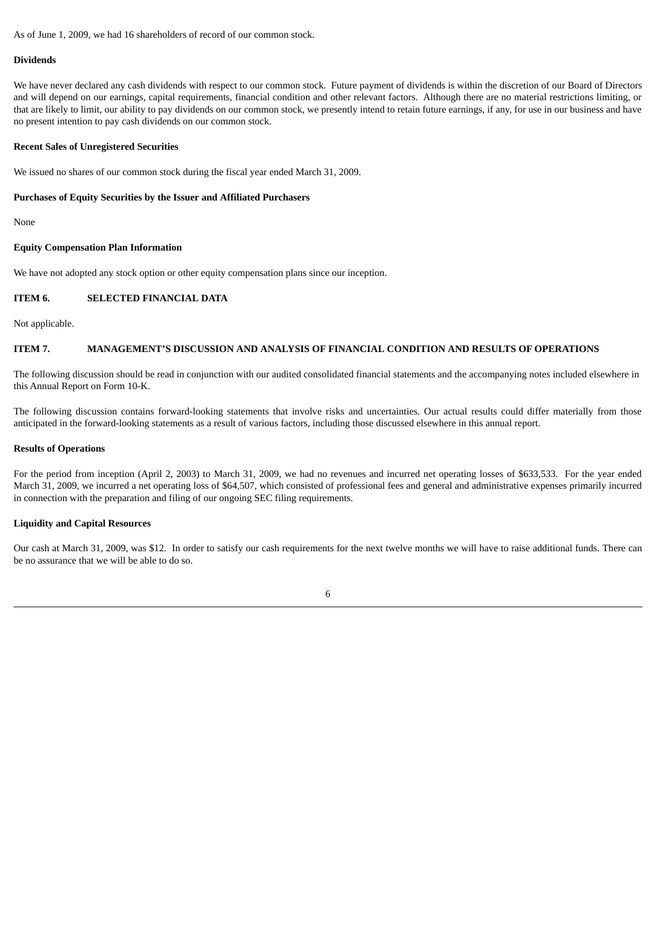As of June 1, 2009, we had 16 shareholders of record of our common stock.

#### **Dividends**

We have never declared any cash dividends with respect to our common stock. Future payment of dividends is within the discretion of our Board of Directors and will depend on our earnings, capital requirements, financial condition and other relevant factors. Although there are no material restrictions limiting, or that are likely to limit, our ability to pay dividends on our common stock, we presently intend to retain future earnings, if any, for use in our business and have no present intention to pay cash dividends on our common stock.

#### **Recent Sales of Unregistered Securities**

We issued no shares of our common stock during the fiscal year ended March 31, 2009.

#### **Purchases of Equity Securities by the Issuer and Affiliated Purchasers**

None

#### **Equity Compensation Plan Information**

We have not adopted any stock option or other equity compensation plans since our inception.

## **ITEM 6. SELECTED FINANCIAL DATA**

Not applicable.

#### **ITEM 7. MANAGEMENT'S DISCUSSION AND ANALYSIS OF FINANCIAL CONDITION AND RESULTS OF OPERATIONS**

The following discussion should be read in conjunction with our audited consolidated financial statements and the accompanying notes included elsewhere in this Annual Report on Form 10-K.

The following discussion contains forward-looking statements that involve risks and uncertainties. Our actual results could differ materially from those anticipated in the forward-looking statements as a result of various factors, including those discussed elsewhere in this annual report.

#### **Results of Operations**

For the period from inception (April 2, 2003) to March 31, 2009, we had no revenues and incurred net operating losses of \$633,533. For the year ended March 31, 2009, we incurred a net operating loss of \$64,507, which consisted of professional fees and general and administrative expenses primarily incurred in connection with the preparation and filing of our ongoing SEC filing requirements.

## **Liquidity and Capital Resources**

Our cash at March 31, 2009, was \$12. In order to satisfy our cash requirements for the next twelve months we will have to raise additional funds. There can be no assurance that we will be able to do so.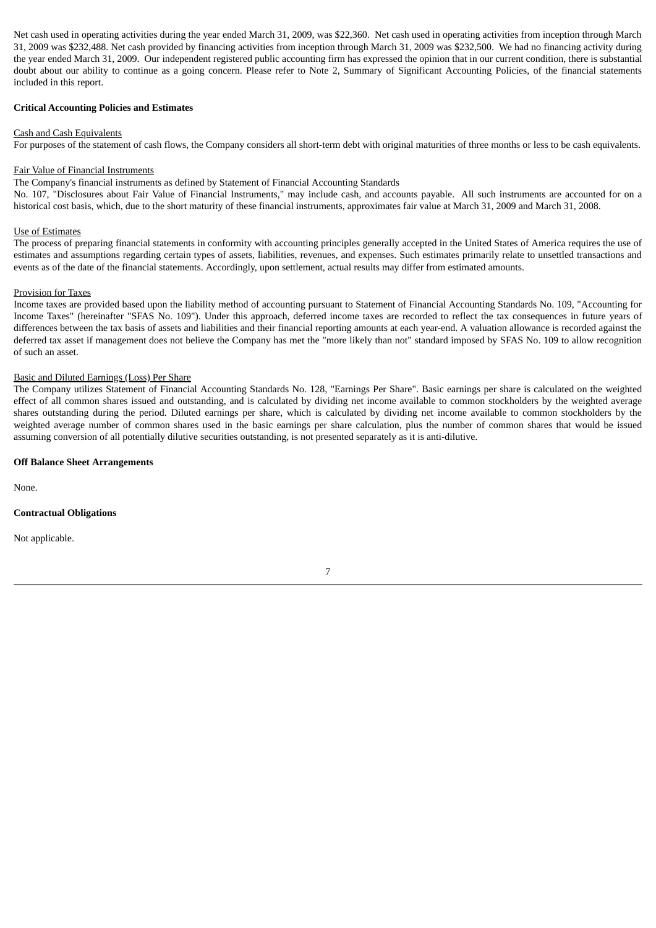Net cash used in operating activities during the year ended March 31, 2009, was \$22,360. Net cash used in operating activities from inception through March 31, 2009 was \$232,488. Net cash provided by financing activities from inception through March 31, 2009 was \$232,500. We had no financing activity during the year ended March 31, 2009. Our independent registered public accounting firm has expressed the opinion that in our current condition, there is substantial doubt about our ability to continue as a going concern. Please refer to Note 2, Summary of Significant Accounting Policies, of the financial statements included in this report.

## **Critical Accounting Policies and Estimates**

#### Cash and Cash Equivalents

For purposes of the statement of cash flows, the Company considers all short-term debt with original maturities of three months or less to be cash equivalents.

#### Fair Value of Financial Instruments

The Company's financial instruments as defined by Statement of Financial Accounting Standards

No. 107, "Disclosures about Fair Value of Financial Instruments," may include cash, and accounts payable. All such instruments are accounted for on a historical cost basis, which, due to the short maturity of these financial instruments, approximates fair value at March 31, 2009 and March 31, 2008.

#### Use of Estimates

The process of preparing financial statements in conformity with accounting principles generally accepted in the United States of America requires the use of estimates and assumptions regarding certain types of assets, liabilities, revenues, and expenses. Such estimates primarily relate to unsettled transactions and events as of the date of the financial statements. Accordingly, upon settlement, actual results may differ from estimated amounts.

#### Provision for Taxes

Income taxes are provided based upon the liability method of accounting pursuant to Statement of Financial Accounting Standards No. 109, "Accounting for Income Taxes" (hereinafter "SFAS No. 109"). Under this approach, deferred income taxes are recorded to reflect the tax consequences in future years of differences between the tax basis of assets and liabilities and their financial reporting amounts at each year-end. A valuation allowance is recorded against the deferred tax asset if management does not believe the Company has met the "more likely than not" standard imposed by SFAS No. 109 to allow recognition of such an asset.

#### Basic and Diluted Earnings (Loss) Per Share

The Company utilizes Statement of Financial Accounting Standards No. 128, "Earnings Per Share". Basic earnings per share is calculated on the weighted effect of all common shares issued and outstanding, and is calculated by dividing net income available to common stockholders by the weighted average shares outstanding during the period. Diluted earnings per share, which is calculated by dividing net income available to common stockholders by the weighted average number of common shares used in the basic earnings per share calculation, plus the number of common shares that would be issued assuming conversion of all potentially dilutive securities outstanding, is not presented separately as it is anti-dilutive.

#### **Off Balance Sheet Arrangements**

None.

#### **Contractual Obligations**

Not applicable.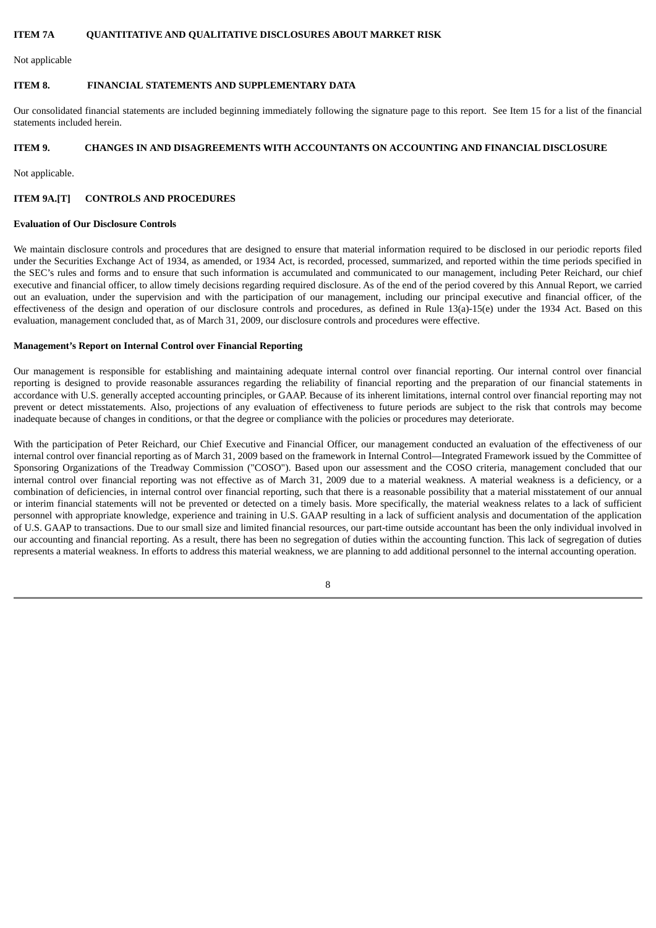## **ITEM 7A QUANTITATIVE AND QUALITATIVE DISCLOSURES ABOUT MARKET RISK**

Not applicable

#### **ITEM 8. FINANCIAL STATEMENTS AND SUPPLEMENTARY DATA**

Our consolidated financial statements are included beginning immediately following the signature page to this report. See Item 15 for a list of the financial statements included herein.

## **ITEM 9. CHANGES IN AND DISAGREEMENTS WITH ACCOUNTANTS ON ACCOUNTING AND FINANCIAL DISCLOSURE**

Not applicable.

## **ITEM 9A.[T] CONTROLS AND PROCEDURES**

#### **Evaluation of Our Disclosure Controls**

We maintain disclosure controls and procedures that are designed to ensure that material information required to be disclosed in our periodic reports filed under the Securities Exchange Act of 1934, as amended, or 1934 Act, is recorded, processed, summarized, and reported within the time periods specified in the SEC's rules and forms and to ensure that such information is accumulated and communicated to our management, including Peter Reichard, our chief executive and financial officer, to allow timely decisions regarding required disclosure. As of the end of the period covered by this Annual Report, we carried out an evaluation, under the supervision and with the participation of our management, including our principal executive and financial officer, of the effectiveness of the design and operation of our disclosure controls and procedures, as defined in Rule 13(a)-15(e) under the 1934 Act. Based on this evaluation, management concluded that, as of March 31, 2009, our disclosure controls and procedures were effective.

#### **Management's Report on Internal Control over Financial Reporting**

Our management is responsible for establishing and maintaining adequate internal control over financial reporting. Our internal control over financial reporting is designed to provide reasonable assurances regarding the reliability of financial reporting and the preparation of our financial statements in accordance with U.S. generally accepted accounting principles, or GAAP. Because of its inherent limitations, internal control over financial reporting may not prevent or detect misstatements. Also, projections of any evaluation of effectiveness to future periods are subject to the risk that controls may become inadequate because of changes in conditions, or that the degree or compliance with the policies or procedures may deteriorate.

With the participation of Peter Reichard, our Chief Executive and Financial Officer, our management conducted an evaluation of the effectiveness of our internal control over financial reporting as of March 31, 2009 based on the framework in Internal Control—Integrated Framework issued by the Committee of Sponsoring Organizations of the Treadway Commission ("COSO"). Based upon our assessment and the COSO criteria, management concluded that our internal control over financial reporting was not effective as of March 31, 2009 due to a material weakness. A material weakness is a deficiency, or a combination of deficiencies, in internal control over financial reporting, such that there is a reasonable possibility that a material misstatement of our annual or interim financial statements will not be prevented or detected on a timely basis. More specifically, the material weakness relates to a lack of sufficient personnel with appropriate knowledge, experience and training in U.S. GAAP resulting in a lack of sufficient analysis and documentation of the application of U.S. GAAP to transactions. Due to our small size and limited financial resources, our part-time outside accountant has been the only individual involved in our accounting and financial reporting. As a result, there has been no segregation of duties within the accounting function. This lack of segregation of duties represents a material weakness. In efforts to address this material weakness, we are planning to add additional personnel to the internal accounting operation.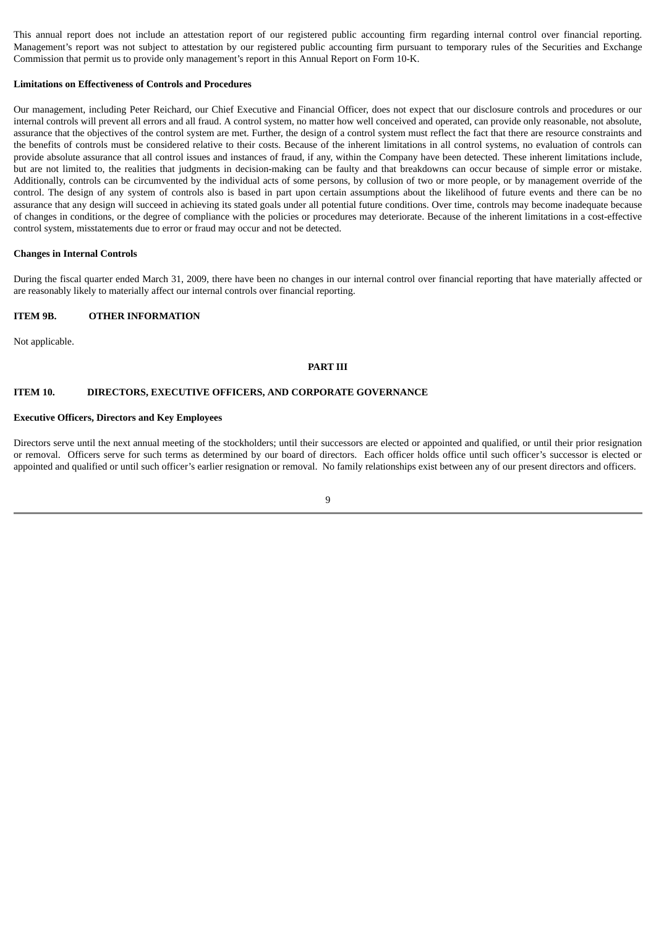This annual report does not include an attestation report of our registered public accounting firm regarding internal control over financial reporting. Management's report was not subject to attestation by our registered public accounting firm pursuant to temporary rules of the Securities and Exchange Commission that permit us to provide only management's report in this Annual Report on Form 10-K.

#### **Limitations on Effectiveness of Controls and Procedures**

Our management, including Peter Reichard, our Chief Executive and Financial Officer, does not expect that our disclosure controls and procedures or our internal controls will prevent all errors and all fraud. A control system, no matter how well conceived and operated, can provide only reasonable, not absolute, assurance that the objectives of the control system are met. Further, the design of a control system must reflect the fact that there are resource constraints and the benefits of controls must be considered relative to their costs. Because of the inherent limitations in all control systems, no evaluation of controls can provide absolute assurance that all control issues and instances of fraud, if any, within the Company have been detected. These inherent limitations include, but are not limited to, the realities that judgments in decision-making can be faulty and that breakdowns can occur because of simple error or mistake. Additionally, controls can be circumvented by the individual acts of some persons, by collusion of two or more people, or by management override of the control. The design of any system of controls also is based in part upon certain assumptions about the likelihood of future events and there can be no assurance that any design will succeed in achieving its stated goals under all potential future conditions. Over time, controls may become inadequate because of changes in conditions, or the degree of compliance with the policies or procedures may deteriorate. Because of the inherent limitations in a cost-effective control system, misstatements due to error or fraud may occur and not be detected.

#### **Changes in Internal Controls**

During the fiscal quarter ended March 31, 2009, there have been no changes in our internal control over financial reporting that have materially affected or are reasonably likely to materially affect our internal controls over financial reporting.

#### **ITEM 9B. OTHER INFORMATION**

Not applicable.

#### **PART III**

#### **ITEM 10. DIRECTORS, EXECUTIVE OFFICERS, AND CORPORATE GOVERNANCE**

#### **Executive Officers, Directors and Key Employees**

Directors serve until the next annual meeting of the stockholders; until their successors are elected or appointed and qualified, or until their prior resignation or removal. Officers serve for such terms as determined by our board of directors. Each officer holds office until such officer's successor is elected or appointed and qualified or until such officer's earlier resignation or removal. No family relationships exist between any of our present directors and officers.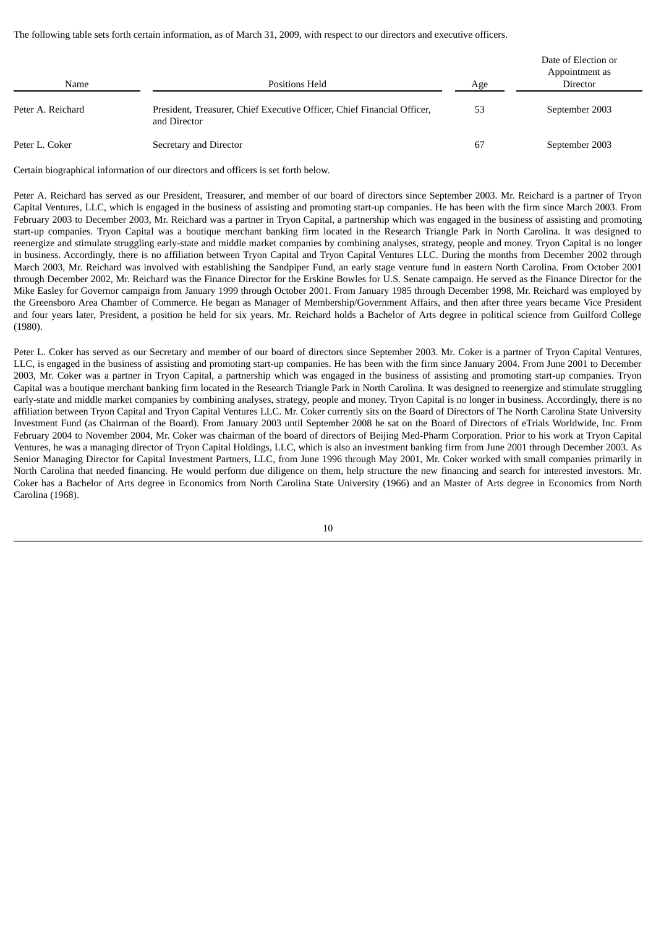The following table sets forth certain information, as of March 31, 2009, with respect to our directors and executive officers.

| Name              | Positions Held                                                                          | Age | Date of Election or<br>Appointment as<br>Director |
|-------------------|-----------------------------------------------------------------------------------------|-----|---------------------------------------------------|
| Peter A. Reichard | President, Treasurer, Chief Executive Officer, Chief Financial Officer,<br>and Director | 53  | September 2003                                    |
| Peter L. Coker    | Secretary and Director                                                                  | 67  | September 2003                                    |

Certain biographical information of our directors and officers is set forth below.

Peter A. Reichard has served as our President, Treasurer, and member of our board of directors since September 2003. Mr. Reichard is a partner of Tryon Capital Ventures, LLC, which is engaged in the business of assisting and promoting start-up companies. He has been with the firm since March 2003. From February 2003 to December 2003, Mr. Reichard was a partner in Tryon Capital, a partnership which was engaged in the business of assisting and promoting start-up companies. Tryon Capital was a boutique merchant banking firm located in the Research Triangle Park in North Carolina. It was designed to reenergize and stimulate struggling early-state and middle market companies by combining analyses, strategy, people and money. Tryon Capital is no longer in business. Accordingly, there is no affiliation between Tryon Capital and Tryon Capital Ventures LLC. During the months from December 2002 through March 2003, Mr. Reichard was involved with establishing the Sandpiper Fund, an early stage venture fund in eastern North Carolina. From October 2001 through December 2002, Mr. Reichard was the Finance Director for the Erskine Bowles for U.S. Senate campaign. He served as the Finance Director for the Mike Easley for Governor campaign from January 1999 through October 2001. From January 1985 through December 1998, Mr. Reichard was employed by the Greensboro Area Chamber of Commerce. He began as Manager of Membership/Government Affairs, and then after three years became Vice President and four years later, President, a position he held for six years. Mr. Reichard holds a Bachelor of Arts degree in political science from Guilford College (1980).

Peter L. Coker has served as our Secretary and member of our board of directors since September 2003. Mr. Coker is a partner of Tryon Capital Ventures, LLC, is engaged in the business of assisting and promoting start-up companies. He has been with the firm since January 2004. From June 2001 to December 2003, Mr. Coker was a partner in Tryon Capital, a partnership which was engaged in the business of assisting and promoting start-up companies. Tryon Capital was a boutique merchant banking firm located in the Research Triangle Park in North Carolina. It was designed to reenergize and stimulate struggling early-state and middle market companies by combining analyses, strategy, people and money. Tryon Capital is no longer in business. Accordingly, there is no affiliation between Tryon Capital and Tryon Capital Ventures LLC. Mr. Coker currently sits on the Board of Directors of The North Carolina State University Investment Fund (as Chairman of the Board). From January 2003 until September 2008 he sat on the Board of Directors of eTrials Worldwide, Inc. From February 2004 to November 2004, Mr. Coker was chairman of the board of directors of Beijing Med-Pharm Corporation. Prior to his work at Tryon Capital Ventures, he was a managing director of Tryon Capital Holdings, LLC, which is also an investment banking firm from June 2001 through December 2003. As Senior Managing Director for Capital Investment Partners, LLC, from June 1996 through May 2001, Mr. Coker worked with small companies primarily in North Carolina that needed financing. He would perform due diligence on them, help structure the new financing and search for interested investors. Mr. Coker has a Bachelor of Arts degree in Economics from North Carolina State University (1966) and an Master of Arts degree in Economics from North Carolina (1968).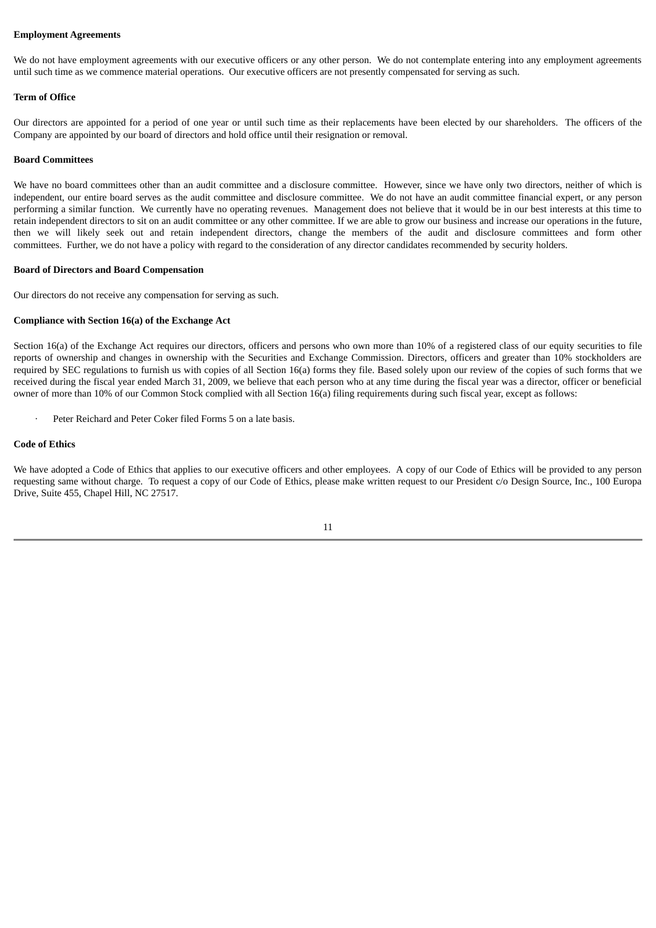#### **Employment Agreements**

We do not have employment agreements with our executive officers or any other person. We do not contemplate entering into any employment agreements until such time as we commence material operations. Our executive officers are not presently compensated for serving as such.

#### **Term of Office**

Our directors are appointed for a period of one year or until such time as their replacements have been elected by our shareholders. The officers of the Company are appointed by our board of directors and hold office until their resignation or removal.

#### **Board Committees**

We have no board committees other than an audit committee and a disclosure committee. However, since we have only two directors, neither of which is independent, our entire board serves as the audit committee and disclosure committee. We do not have an audit committee financial expert, or any person performing a similar function. We currently have no operating revenues. Management does not believe that it would be in our best interests at this time to retain independent directors to sit on an audit committee or any other committee. If we are able to grow our business and increase our operations in the future, then we will likely seek out and retain independent directors, change the members of the audit and disclosure committees and form other committees. Further, we do not have a policy with regard to the consideration of any director candidates recommended by security holders.

#### **Board of Directors and Board Compensation**

Our directors do not receive any compensation for serving as such.

#### **Compliance with Section 16(a) of the Exchange Act**

Section 16(a) of the Exchange Act requires our directors, officers and persons who own more than 10% of a registered class of our equity securities to file reports of ownership and changes in ownership with the Securities and Exchange Commission. Directors, officers and greater than 10% stockholders are required by SEC regulations to furnish us with copies of all Section 16(a) forms they file. Based solely upon our review of the copies of such forms that we received during the fiscal year ended March 31, 2009, we believe that each person who at any time during the fiscal year was a director, officer or beneficial owner of more than 10% of our Common Stock complied with all Section 16(a) filing requirements during such fiscal year, except as follows:

Peter Reichard and Peter Coker filed Forms 5 on a late basis.

#### **Code of Ethics**

We have adopted a Code of Ethics that applies to our executive officers and other employees. A copy of our Code of Ethics will be provided to any person requesting same without charge. To request a copy of our Code of Ethics, please make written request to our President c/o Design Source, Inc., 100 Europa Drive, Suite 455, Chapel Hill, NC 27517.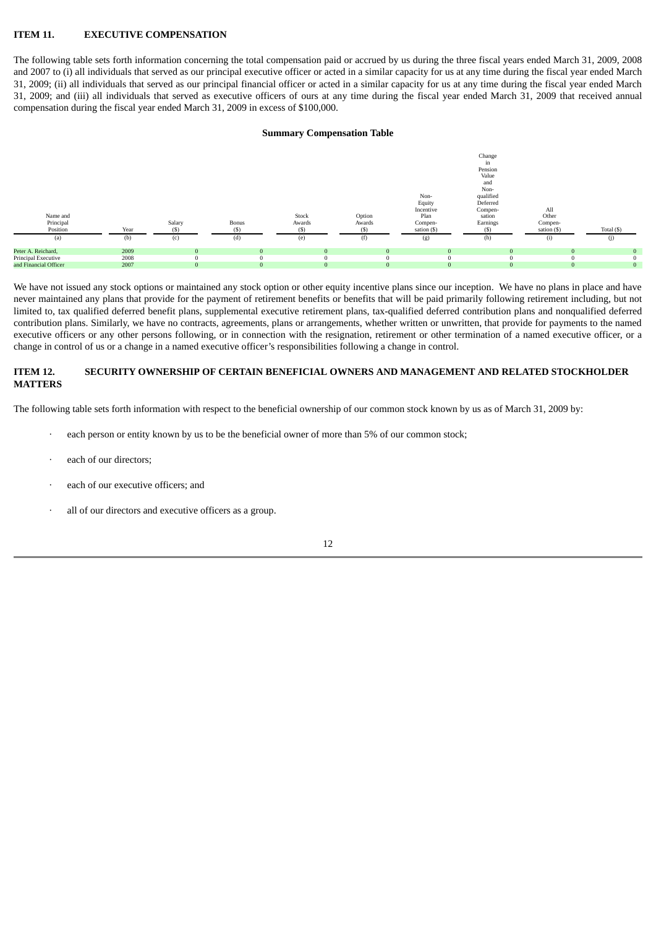## **ITEM 11. EXECUTIVE COMPENSATION**

The following table sets forth information concerning the total compensation paid or accrued by us during the three fiscal years ended March 31, 2009, 2008 and 2007 to (i) all individuals that served as our principal executive officer or acted in a similar capacity for us at any time during the fiscal year ended March 31, 2009; (ii) all individuals that served as our principal financial officer or acted in a similar capacity for us at any time during the fiscal year ended March 31, 2009; and (iii) all individuals that served as executive officers of ours at any time during the fiscal year ended March 31, 2009 that received annual compensation during the fiscal year ended March 31, 2009 in excess of \$100,000.

## **Summary Compensation Table**



We have not issued any stock options or maintained any stock option or other equity incentive plans since our inception. We have no plans in place and have never maintained any plans that provide for the payment of retirement benefits or benefits that will be paid primarily following retirement including, but not limited to, tax qualified deferred benefit plans, supplemental executive retirement plans, tax-qualified deferred contribution plans and nonqualified deferred contribution plans. Similarly, we have no contracts, agreements, plans or arrangements, whether written or unwritten, that provide for payments to the named executive officers or any other persons following, or in connection with the resignation, retirement or other termination of a named executive officer, or a change in control of us or a change in a named executive officer's responsibilities following a change in control.

## **ITEM 12. SECURITY OWNERSHIP OF CERTAIN BENEFICIAL OWNERS AND MANAGEMENT AND RELATED STOCKHOLDER MATTERS**

The following table sets forth information with respect to the beneficial ownership of our common stock known by us as of March 31, 2009 by:

- each person or entity known by us to be the beneficial owner of more than 5% of our common stock;
- each of our directors;
- each of our executive officers; and
- all of our directors and executive officers as a group.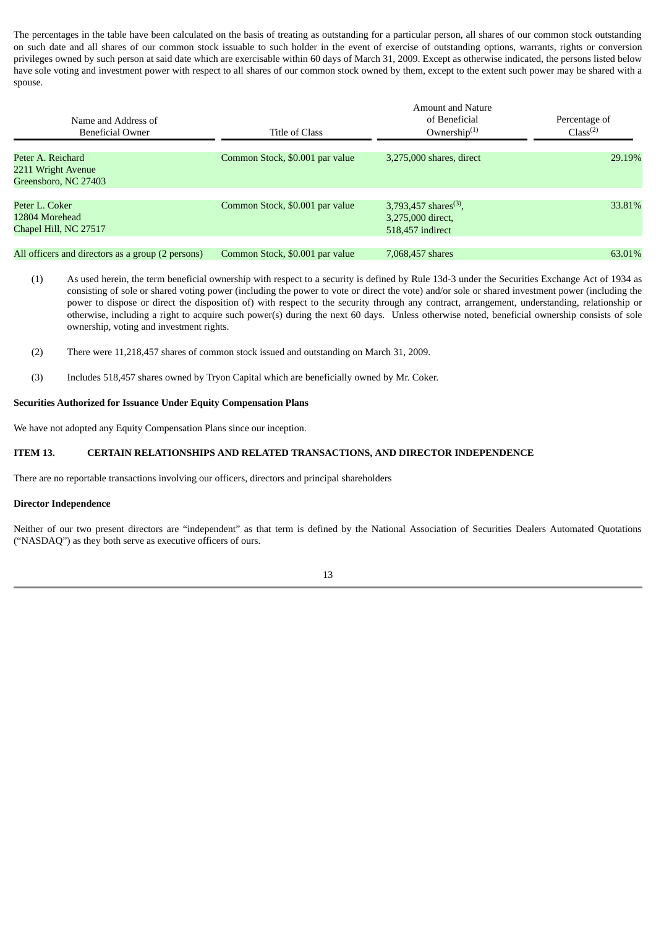The percentages in the table have been calculated on the basis of treating as outstanding for a particular person, all shares of our common stock outstanding on such date and all shares of our common stock issuable to such holder in the event of exercise of outstanding options, warrants, rights or conversion privileges owned by such person at said date which are exercisable within 60 days of March 31, 2009. Except as otherwise indicated, the persons listed below have sole voting and investment power with respect to all shares of our common stock owned by them, except to the extent such power may be shared with a spouse.

| Name and Address of<br><b>Beneficial Owner</b>                  | Title of Class                  | <b>Amount and Nature</b><br>of Beneficial<br>Ownership $(1)$               | Percentage of<br>Class <sup>(2)</sup> |
|-----------------------------------------------------------------|---------------------------------|----------------------------------------------------------------------------|---------------------------------------|
| Peter A. Reichard<br>2211 Wright Avenue<br>Greensboro, NC 27403 | Common Stock, \$0.001 par value | 3,275,000 shares, direct                                                   | 29.19%                                |
| Peter L. Coker<br>12804 Morehead<br>Chapel Hill, NC 27517       | Common Stock, \$0.001 par value | 3,793,457 shares <sup>(3)</sup> ,<br>3,275,000 direct,<br>518,457 indirect | 33.81%                                |
| All officers and directors as a group (2 persons)               | Common Stock, \$0.001 par value | 7,068,457 shares                                                           | 63.01%                                |

- (1) As used herein, the term beneficial ownership with respect to a security is defined by Rule 13d-3 under the Securities Exchange Act of 1934 as consisting of sole or shared voting power (including the power to vote or direct the vote) and/or sole or shared investment power (including the power to dispose or direct the disposition of) with respect to the security through any contract, arrangement, understanding, relationship or otherwise, including a right to acquire such power(s) during the next 60 days. Unless otherwise noted, beneficial ownership consists of sole ownership, voting and investment rights.
- (2) There were 11,218,457 shares of common stock issued and outstanding on March 31, 2009.
- (3) Includes 518,457 shares owned by Tryon Capital which are beneficially owned by Mr. Coker.

#### **Securities Authorized for Issuance Under Equity Compensation Plans**

We have not adopted any Equity Compensation Plans since our inception.

## **ITEM 13. CERTAIN RELATIONSHIPS AND RELATED TRANSACTIONS, AND DIRECTOR INDEPENDENCE**

There are no reportable transactions involving our officers, directors and principal shareholders

#### **Director Independence**

Neither of our two present directors are "independent" as that term is defined by the National Association of Securities Dealers Automated Quotations ("NASDAQ") as they both serve as executive officers of ours.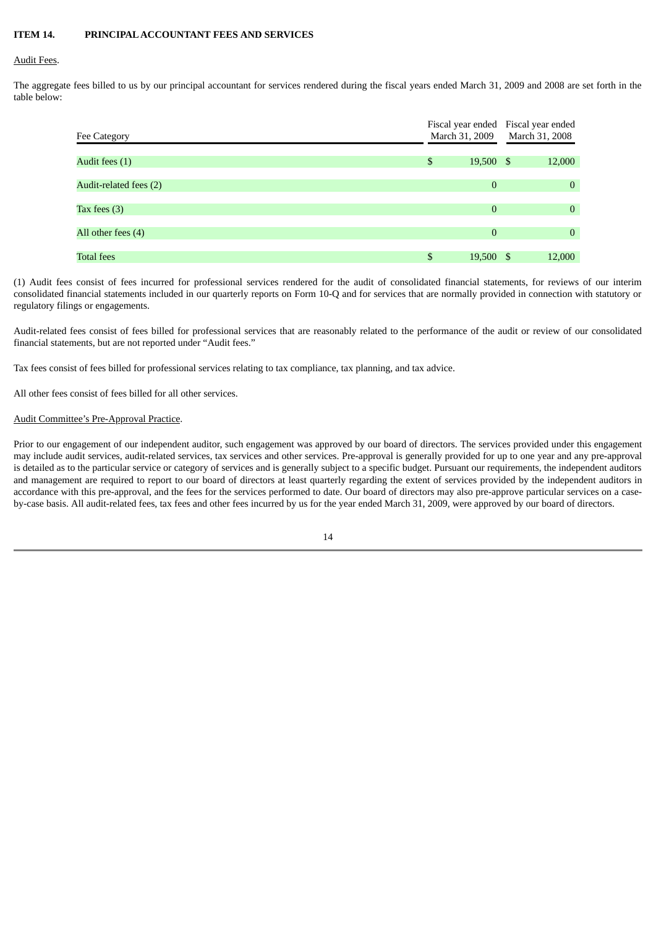## **ITEM 14. PRINCIPALACCOUNTANT FEES AND SERVICES**

#### Audit Fees.

The aggregate fees billed to us by our principal accountant for services rendered during the fiscal years ended March 31, 2009 and 2008 are set forth in the table below:

| Fee Category           | Fiscal year ended<br>March 31, 2009 | Fiscal year ended<br>March 31, 2008 |                |  |
|------------------------|-------------------------------------|-------------------------------------|----------------|--|
| Audit fees (1)         | \$<br>19,500 \$                     |                                     | 12,000         |  |
| Audit-related fees (2) | $\theta$                            |                                     | $\mathbf{0}$   |  |
| Tax fees $(3)$         | $\mathbf{0}$                        |                                     | $\mathbf{0}$   |  |
| All other fees (4)     | $\mathbf{0}$                        |                                     | $\overline{0}$ |  |
| <b>Total fees</b>      | \$<br>$19,500$ \$                   |                                     | 12,000         |  |

(1) Audit fees consist of fees incurred for professional services rendered for the audit of consolidated financial statements, for reviews of our interim consolidated financial statements included in our quarterly reports on Form 10-Q and for services that are normally provided in connection with statutory or regulatory filings or engagements.

Audit-related fees consist of fees billed for professional services that are reasonably related to the performance of the audit or review of our consolidated financial statements, but are not reported under "Audit fees."

Tax fees consist of fees billed for professional services relating to tax compliance, tax planning, and tax advice.

All other fees consist of fees billed for all other services.

#### Audit Committee's Pre-Approval Practice.

Prior to our engagement of our independent auditor, such engagement was approved by our board of directors. The services provided under this engagement may include audit services, audit-related services, tax services and other services. Pre-approval is generally provided for up to one year and any pre-approval is detailed as to the particular service or category of services and is generally subject to a specific budget. Pursuant our requirements, the independent auditors and management are required to report to our board of directors at least quarterly regarding the extent of services provided by the independent auditors in accordance with this pre-approval, and the fees for the services performed to date. Our board of directors may also pre-approve particular services on a caseby-case basis. All audit-related fees, tax fees and other fees incurred by us for the year ended March 31, 2009, were approved by our board of directors.

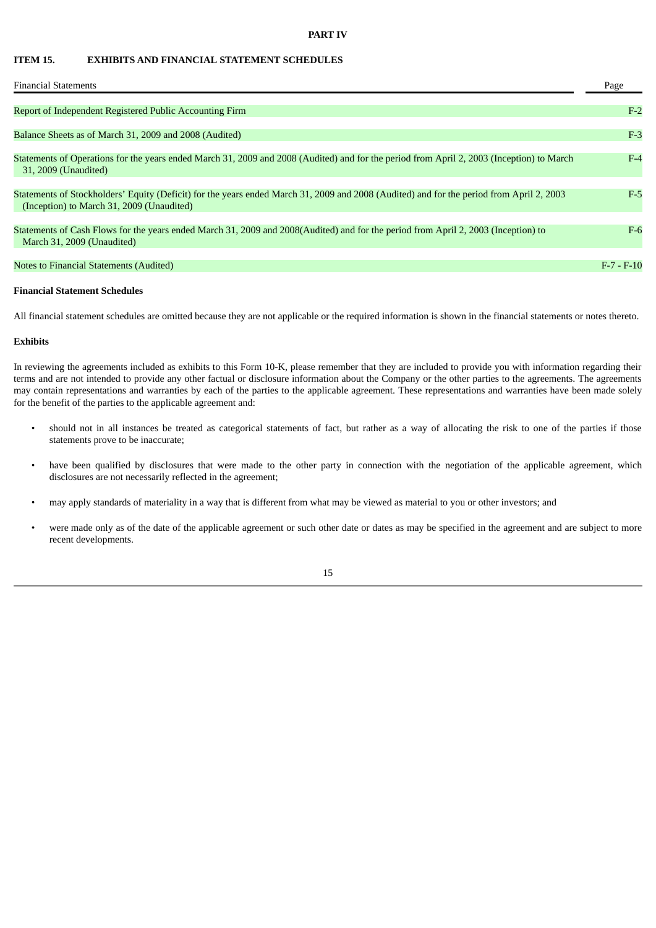#### **PART IV**

## **ITEM 15. EXHIBITS AND FINANCIAL STATEMENT SCHEDULES**

| <b>Financial Statements</b>                                                                                                                                                           | Page         |
|---------------------------------------------------------------------------------------------------------------------------------------------------------------------------------------|--------------|
| Report of Independent Registered Public Accounting Firm                                                                                                                               | $F-2$        |
| Balance Sheets as of March 31, 2009 and 2008 (Audited)                                                                                                                                | $F-3$        |
| Statements of Operations for the years ended March 31, 2009 and 2008 (Audited) and for the period from April 2, 2003 (Inception) to March<br>31, 2009 (Unaudited)                     | $F-4$        |
| Statements of Stockholders' Equity (Deficit) for the years ended March 31, 2009 and 2008 (Audited) and for the period from April 2, 2003<br>(Inception) to March 31, 2009 (Unaudited) | $F-5$        |
| Statements of Cash Flows for the years ended March 31, 2009 and 2008(Audited) and for the period from April 2, 2003 (Inception) to<br>March 31, 2009 (Unaudited)                      | $F-6$        |
| Notes to Financial Statements (Audited)                                                                                                                                               | $F-7 - F-10$ |

#### **Financial Statement Schedules**

All financial statement schedules are omitted because they are not applicable or the required information is shown in the financial statements or notes thereto.

#### **Exhibits**

In reviewing the agreements included as exhibits to this Form 10-K, please remember that they are included to provide you with information regarding their terms and are not intended to provide any other factual or disclosure information about the Company or the other parties to the agreements. The agreements may contain representations and warranties by each of the parties to the applicable agreement. These representations and warranties have been made solely for the benefit of the parties to the applicable agreement and:

- should not in all instances be treated as categorical statements of fact, but rather as a way of allocating the risk to one of the parties if those statements prove to be inaccurate;
- have been qualified by disclosures that were made to the other party in connection with the negotiation of the applicable agreement, which disclosures are not necessarily reflected in the agreement;
- may apply standards of materiality in a way that is different from what may be viewed as material to you or other investors; and
- were made only as of the date of the applicable agreement or such other date or dates as may be specified in the agreement and are subject to more recent developments.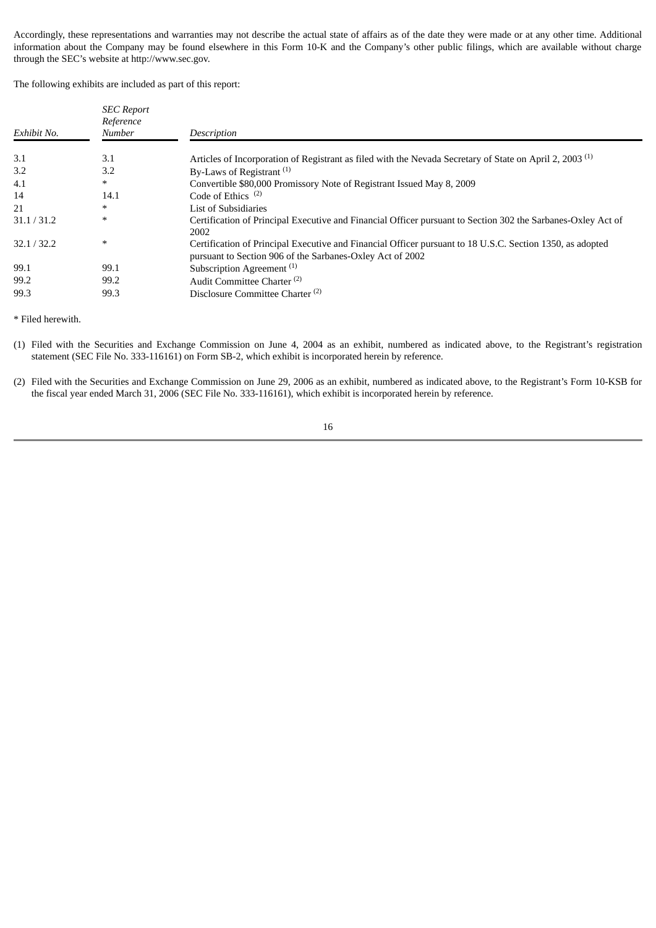Accordingly, these representations and warranties may not describe the actual state of affairs as of the date they were made or at any other time. Additional information about the Company may be found elsewhere in this Form 10-K and the Company's other public filings, which are available without charge through the SEC's website at http://www.sec.gov.

The following exhibits are included as part of this report:

| Exhibit No. | <b>SEC</b> Report<br>Reference<br>Number | Description                                                                                                                                                            |
|-------------|------------------------------------------|------------------------------------------------------------------------------------------------------------------------------------------------------------------------|
| 3.1         | 3.1                                      | Articles of Incorporation of Registrant as filed with the Nevada Secretary of State on April 2, 2003 <sup>(1)</sup>                                                    |
| 3.2         | 3.2                                      | By-Laws of Registrant <sup>(1)</sup>                                                                                                                                   |
| 4.1         | $\ast$                                   | Convertible \$80,000 Promissory Note of Registrant Issued May 8, 2009                                                                                                  |
| 14          | 14.1                                     | Code of Ethics <sup><math>(2)</math></sup>                                                                                                                             |
| 21          | ∗                                        | List of Subsidiaries                                                                                                                                                   |
| 31.1 / 31.2 | $\ast$                                   | Certification of Principal Executive and Financial Officer pursuant to Section 302 the Sarbanes-Oxley Act of<br>2002                                                   |
| 32.1 / 32.2 | $\ast$                                   | Certification of Principal Executive and Financial Officer pursuant to 18 U.S.C. Section 1350, as adopted<br>pursuant to Section 906 of the Sarbanes-Oxley Act of 2002 |
| 99.1        | 99.1                                     | Subscription Agreement <sup>(1)</sup>                                                                                                                                  |
| 99.2        | 99.2                                     | Audit Committee Charter <sup>(2)</sup>                                                                                                                                 |
| 99.3        | 99.3                                     | Disclosure Committee Charter <sup>(2)</sup>                                                                                                                            |

\* Filed herewith.

- (1) Filed with the Securities and Exchange Commission on June 4, 2004 as an exhibit, numbered as indicated above, to the Registrant's registration statement (SEC File No. 333-116161) on Form SB-2, which exhibit is incorporated herein by reference.
- (2) Filed with the Securities and Exchange Commission on June 29, 2006 as an exhibit, numbered as indicated above, to the Registrant's Form 10-KSB for the fiscal year ended March 31, 2006 (SEC File No. 333-116161), which exhibit is incorporated herein by reference.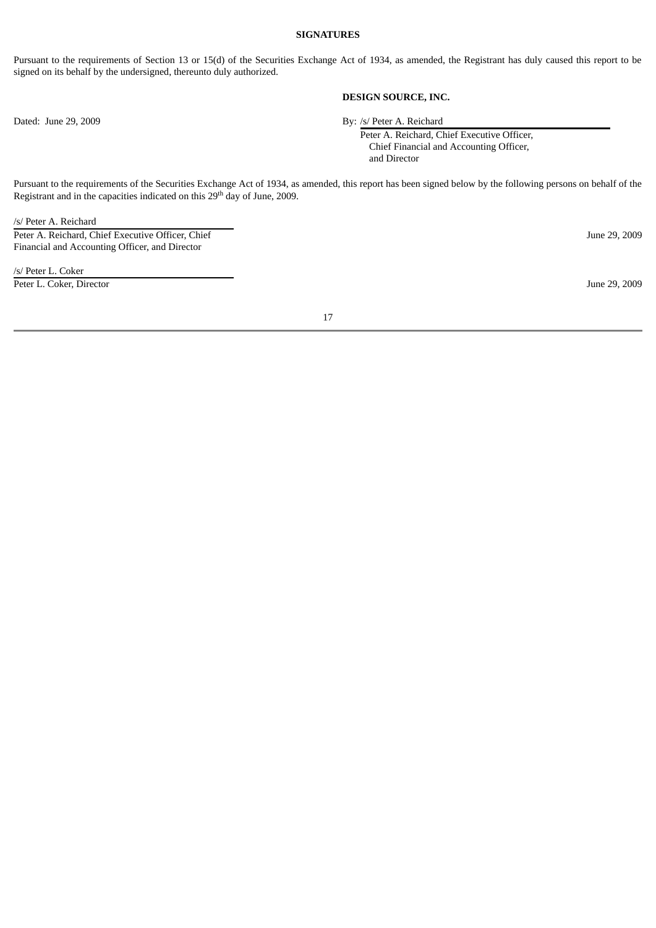#### **SIGNATURES**

Pursuant to the requirements of Section 13 or 15(d) of the Securities Exchange Act of 1934, as amended, the Registrant has duly caused this report to be signed on its behalf by the undersigned, thereunto duly authorized.

## **DESIGN SOURCE, INC.**

Dated: June 29, 2009 By: /s/ Peter A. Reichard

Peter A. Reichard, Chief Executive Officer, Chief Financial and Accounting Officer, and Director

Pursuant to the requirements of the Securities Exchange Act of 1934, as amended, this report has been signed below by the following persons on behalf of the Registrant and in the capacities indicated on this 29<sup>th</sup> day of June, 2009.

/s/ Peter A. Reichard

Peter A. Reichard, Chief Executive Officer, Chief Financial and Accounting Officer, and Director

/s/ Peter L. Coker Peter L. Coker, Director June 29, 2009

June 29, 2009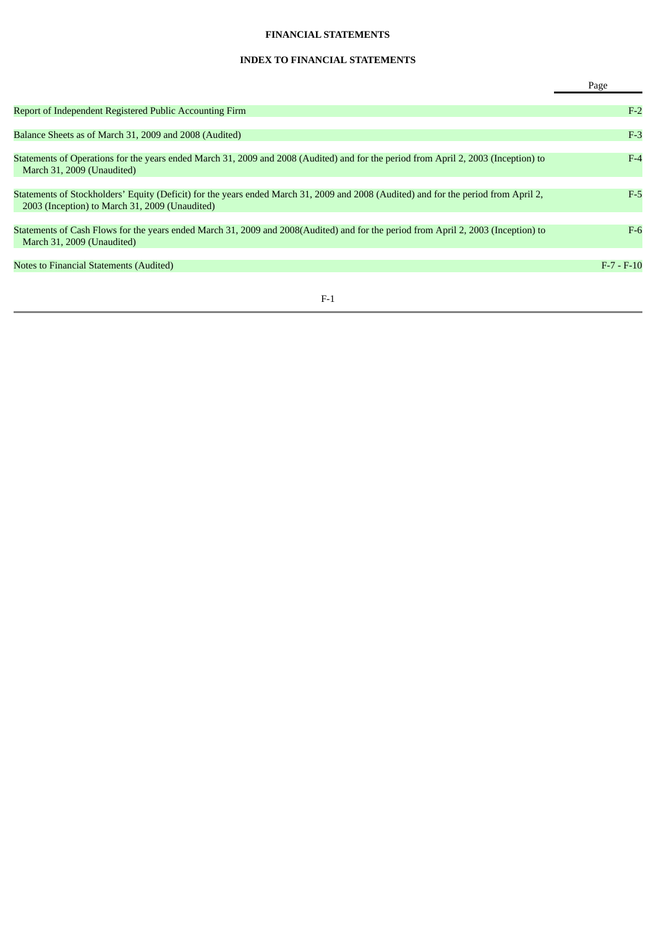## **FINANCIAL STATEMENTS**

# **INDEX TO FINANCIAL STATEMENTS**

|                                                                                                                                                                                       | Page         |
|---------------------------------------------------------------------------------------------------------------------------------------------------------------------------------------|--------------|
| Report of Independent Registered Public Accounting Firm                                                                                                                               | $F-2$        |
| Balance Sheets as of March 31, 2009 and 2008 (Audited)                                                                                                                                | $F-3$        |
| Statements of Operations for the years ended March 31, 2009 and 2008 (Audited) and for the period from April 2, 2003 (Inception) to<br>March 31, 2009 (Unaudited)                     | $F-4$        |
| Statements of Stockholders' Equity (Deficit) for the years ended March 31, 2009 and 2008 (Audited) and for the period from April 2,<br>2003 (Inception) to March 31, 2009 (Unaudited) | $F-5$        |
| Statements of Cash Flows for the years ended March 31, 2009 and 2008(Audited) and for the period from April 2, 2003 (Inception) to<br>March 31, 2009 (Unaudited)                      | $F-6$        |
| Notes to Financial Statements (Audited)                                                                                                                                               | $F-7 - F-10$ |
|                                                                                                                                                                                       |              |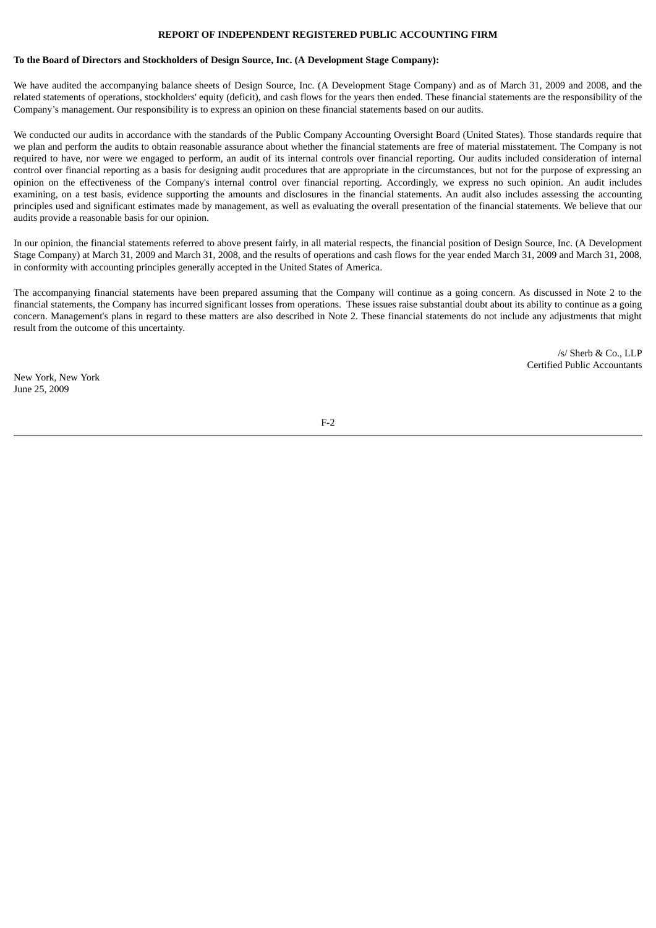## **REPORT OF INDEPENDENT REGISTERED PUBLIC ACCOUNTING FIRM**

#### **To the Board of Directors and Stockholders of Design Source, Inc. (A Development Stage Company):**

We have audited the accompanying balance sheets of Design Source, Inc. (A Development Stage Company) and as of March 31, 2009 and 2008, and the related statements of operations, stockholders' equity (deficit), and cash flows for the years then ended. These financial statements are the responsibility of the Company's management. Our responsibility is to express an opinion on these financial statements based on our audits.

We conducted our audits in accordance with the standards of the Public Company Accounting Oversight Board (United States). Those standards require that we plan and perform the audits to obtain reasonable assurance about whether the financial statements are free of material misstatement. The Company is not required to have, nor were we engaged to perform, an audit of its internal controls over financial reporting. Our audits included consideration of internal control over financial reporting as a basis for designing audit procedures that are appropriate in the circumstances, but not for the purpose of expressing an opinion on the effectiveness of the Company's internal control over financial reporting. Accordingly, we express no such opinion. An audit includes examining, on a test basis, evidence supporting the amounts and disclosures in the financial statements. An audit also includes assessing the accounting principles used and significant estimates made by management, as well as evaluating the overall presentation of the financial statements. We believe that our audits provide a reasonable basis for our opinion.

In our opinion, the financial statements referred to above present fairly, in all material respects, the financial position of Design Source, Inc. (A Development Stage Company) at March 31, 2009 and March 31, 2008, and the results of operations and cash flows for the year ended March 31, 2009 and March 31, 2008, in conformity with accounting principles generally accepted in the United States of America.

The accompanying financial statements have been prepared assuming that the Company will continue as a going concern. As discussed in Note 2 to the financial statements, the Company has incurred significant losses from operations. These issues raise substantial doubt about its ability to continue as a going concern. Management's plans in regard to these matters are also described in Note 2. These financial statements do not include any adjustments that might result from the outcome of this uncertainty.

> $/s/$  Sherb & Co., LLP Certified Public Accountants

New York, New York June 25, 2009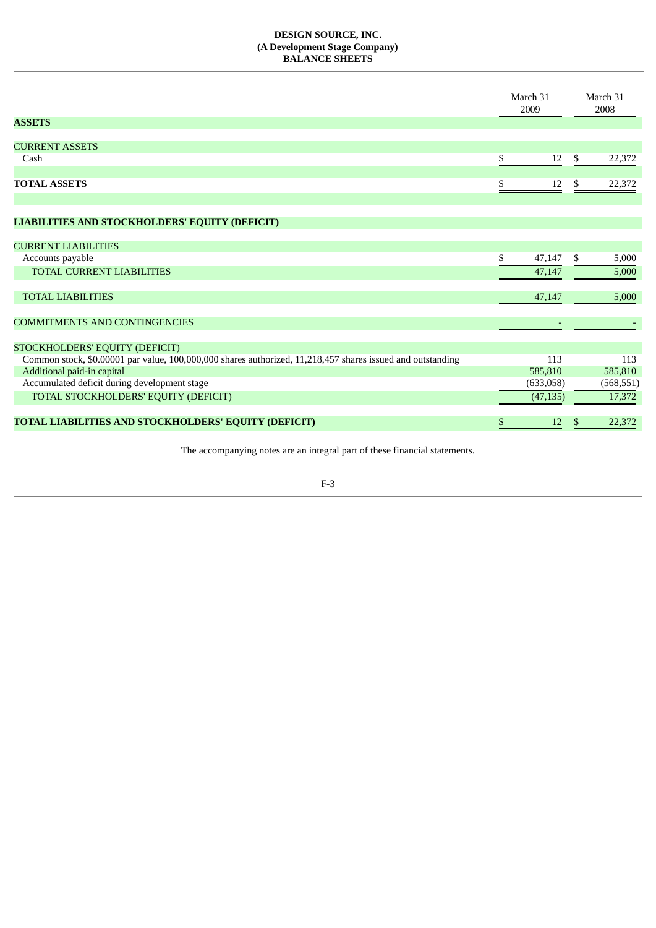## **DESIGN SOURCE, INC. (A Development Stage Company) BALANCE SHEETS**

|                                                                                                            |    | March 31<br>2009 |    | March 31<br>2008 |
|------------------------------------------------------------------------------------------------------------|----|------------------|----|------------------|
| <b>ASSETS</b>                                                                                              |    |                  |    |                  |
| <b>CURRENT ASSETS</b>                                                                                      |    |                  |    |                  |
| Cash                                                                                                       | \$ | 12               | \$ | 22,372           |
|                                                                                                            |    |                  |    |                  |
| <b>TOTAL ASSETS</b>                                                                                        | \$ | 12               | S  | 22,372           |
|                                                                                                            |    |                  |    |                  |
| LIABILITIES AND STOCKHOLDERS' EQUITY (DEFICIT)                                                             |    |                  |    |                  |
|                                                                                                            |    |                  |    |                  |
| <b>CURRENT LIABILITIES</b>                                                                                 |    |                  |    |                  |
| Accounts payable                                                                                           | \$ | 47,147           | \$ | 5,000            |
| <b>TOTAL CURRENT LIABILITIES</b>                                                                           |    | 47,147           |    | 5,000            |
| <b>TOTAL LIABILITIES</b>                                                                                   |    | 47,147           |    |                  |
|                                                                                                            |    |                  |    | 5,000            |
| <b>COMMITMENTS AND CONTINGENCIES</b>                                                                       |    |                  |    |                  |
|                                                                                                            |    |                  |    |                  |
| STOCKHOLDERS' EQUITY (DEFICIT)                                                                             |    |                  |    |                  |
| Common stock, \$0.00001 par value, 100,000,000 shares authorized, 11,218,457 shares issued and outstanding |    | 113              |    | 113              |
| Additional paid-in capital                                                                                 |    | 585,810          |    | 585,810          |
| Accumulated deficit during development stage                                                               |    | (633,058)        |    | (568, 551)       |
| TOTAL STOCKHOLDERS' EQUITY (DEFICIT)                                                                       |    | (47, 135)        |    | 17,372           |
| TOTAL LIABILITIES AND STOCKHOLDERS' EQUITY (DEFICIT)                                                       | \$ | 12               | \$ | 22,372           |
|                                                                                                            |    |                  |    |                  |

The accompanying notes are an integral part of these financial statements.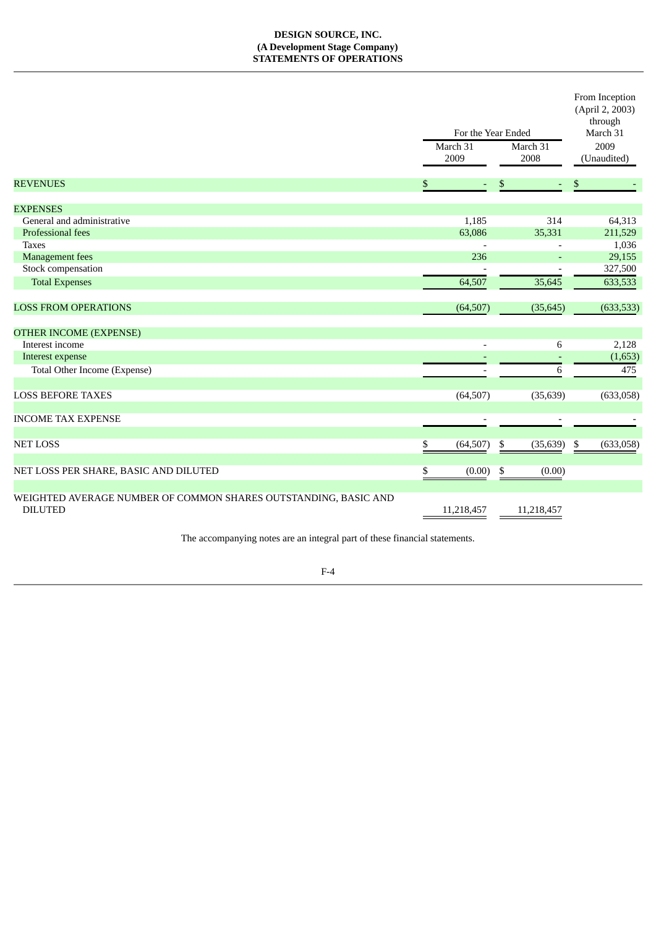## **DESIGN SOURCE, INC. (A Development Stage Company) STATEMENTS OF OPERATIONS**

|                                                                                   | For the Year Ended |    |                  | From Inception<br>(April 2, 2003)<br>through<br>March 31 |
|-----------------------------------------------------------------------------------|--------------------|----|------------------|----------------------------------------------------------|
|                                                                                   | March 31<br>2009   |    | March 31<br>2008 | 2009<br>(Unaudited)                                      |
| <b>REVENUES</b>                                                                   | \$                 | \$ | ٠                | \$                                                       |
| <b>EXPENSES</b>                                                                   |                    |    |                  |                                                          |
| General and administrative                                                        | 1,185              |    | 314              | 64,313                                                   |
| Professional fees                                                                 | 63,086             |    | 35,331           | 211,529                                                  |
| <b>Taxes</b>                                                                      |                    |    |                  | 1,036                                                    |
| <b>Management</b> fees                                                            | 236                |    | $\sim$           | 29,155                                                   |
| Stock compensation                                                                |                    |    |                  | 327,500                                                  |
|                                                                                   |                    |    |                  |                                                          |
| <b>Total Expenses</b>                                                             | 64,507             |    | 35,645           | 633,533                                                  |
| <b>LOSS FROM OPERATIONS</b>                                                       | (64, 507)          |    | (35, 645)        | (633, 533)                                               |
| <b>OTHER INCOME (EXPENSE)</b>                                                     |                    |    |                  |                                                          |
| Interest income                                                                   | $\overline{a}$     |    | 6                | 2,128                                                    |
| Interest expense                                                                  |                    |    |                  | (1,653)                                                  |
| Total Other Income (Expense)                                                      |                    |    | 6                | 475                                                      |
|                                                                                   |                    |    |                  |                                                          |
| <b>LOSS BEFORE TAXES</b>                                                          | (64, 507)          |    | (35, 639)        | (633,058)                                                |
| <b>INCOME TAX EXPENSE</b>                                                         |                    |    |                  |                                                          |
|                                                                                   |                    |    |                  |                                                          |
| <b>NET LOSS</b>                                                                   | \$<br>(64, 507)    | \$ | (35, 639)        | \$<br>(633,058)                                          |
|                                                                                   |                    |    |                  |                                                          |
| NET LOSS PER SHARE, BASIC AND DILUTED                                             | \$<br>(0.00)       | \$ | (0.00)           |                                                          |
|                                                                                   |                    |    |                  |                                                          |
| WEIGHTED AVERAGE NUMBER OF COMMON SHARES OUTSTANDING, BASIC AND<br><b>DILUTED</b> | 11,218,457         |    | 11,218,457       |                                                          |
| The accompanying notes are an integral part of these financial statements.        |                    |    |                  |                                                          |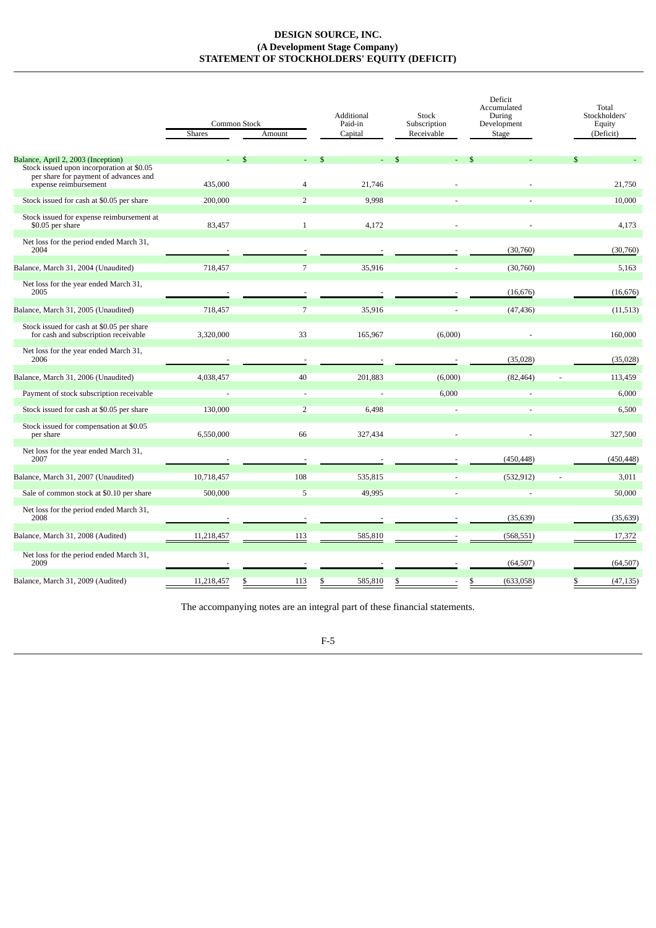## **DESIGN SOURCE, INC. (A Development Stage Company) STATEMENT OF STOCKHOLDERS' EQUITY (DEFICIT)**

|                                                                                                             | Shares     | Common Stock<br>Amount | Additional<br>Paid-in<br>Capital | Stock<br>Subscription<br>Receivable | Deficit<br>Accumulated<br>During<br>Development<br>Stage | Total<br>Stockholders'<br>Equity<br>(Deficit) |
|-------------------------------------------------------------------------------------------------------------|------------|------------------------|----------------------------------|-------------------------------------|----------------------------------------------------------|-----------------------------------------------|
| Balance, April 2, 2003 (Inception)                                                                          |            | \$.                    |                                  |                                     |                                                          | \$                                            |
| Stock issued upon incorporation at \$0.05<br>per share for payment of advances and<br>expense reimbursement | 435,000    | $\overline{4}$         | 21,746                           |                                     |                                                          | 21,750                                        |
| Stock issued for cash at \$0.05 per share                                                                   | 200,000    | $\overline{2}$         | 9,998                            |                                     |                                                          | 10,000                                        |
| Stock issued for expense reimbursement at<br>\$0.05 per share                                               | 83,457     | $1\,$                  | 4,172                            |                                     |                                                          | 4,173                                         |
| Net loss for the period ended March 31,<br>2004                                                             |            |                        |                                  |                                     | (30,760)                                                 | (30,760)                                      |
| Balance, March 31, 2004 (Unaudited)                                                                         | 718,457    | 7                      | 35,916                           |                                     | (30,760)                                                 | 5,163                                         |
| Net loss for the year ended March 31,<br>2005                                                               |            |                        |                                  |                                     | (16, 676)                                                | (16, 676)                                     |
| Balance, March 31, 2005 (Unaudited)                                                                         | 718,457    | 7                      | 35,916                           |                                     | (47, 436)                                                | (11, 513)                                     |
| Stock issued for cash at \$0.05 per share<br>for cash and subscription receivable                           | 3,320,000  | 33                     | 165,967                          | (6,000)                             |                                                          | 160,000                                       |
| Net loss for the year ended March 31,<br>2006                                                               |            |                        |                                  |                                     | (35, 028)                                                | (35, 028)                                     |
| Balance, March 31, 2006 (Unaudited)                                                                         | 4,038,457  | 40                     | 201,883                          | (6,000)                             | (82, 464)                                                | 113,459                                       |
| Payment of stock subscription receivable                                                                    |            | $\overline{a}$         |                                  | 6,000                               |                                                          | 6,000                                         |
| Stock issued for cash at \$0.05 per share                                                                   | 130,000    | $\overline{2}$         | 6,498                            |                                     | $\sim$                                                   | 6,500                                         |
| Stock issued for compensation at \$0.05<br>per share                                                        | 6,550,000  | 66                     | 327,434                          |                                     |                                                          | 327,500                                       |
| Net loss for the year ended March 31,<br>2007                                                               |            |                        |                                  |                                     | (450, 448)                                               | (450, 448)                                    |
| Balance, March 31, 2007 (Unaudited)                                                                         | 10,718,457 | 108                    | 535,815                          |                                     | (532, 912)                                               | 3,011                                         |
| Sale of common stock at \$0.10 per share                                                                    | 500,000    | 5                      | 49,995                           |                                     |                                                          | 50,000                                        |
| Net loss for the period ended March 31,<br>2008                                                             |            |                        |                                  |                                     | (35, 639)                                                | (35, 639)                                     |
| Balance, March 31, 2008 (Audited)                                                                           | 11,218,457 | 113                    | 585,810                          |                                     | (568, 551)                                               | 17,372                                        |
| Net loss for the period ended March 31,<br>2009                                                             |            |                        |                                  |                                     | (64, 507)                                                | (64, 507)                                     |
| Balance, March 31, 2009 (Audited)                                                                           | 11,218,457 | \$<br>113              | \$<br>585,810                    | \$                                  | \$<br>(633,058)                                          | \$<br>(47, 135)                               |

The accompanying notes are an integral part of these financial statements.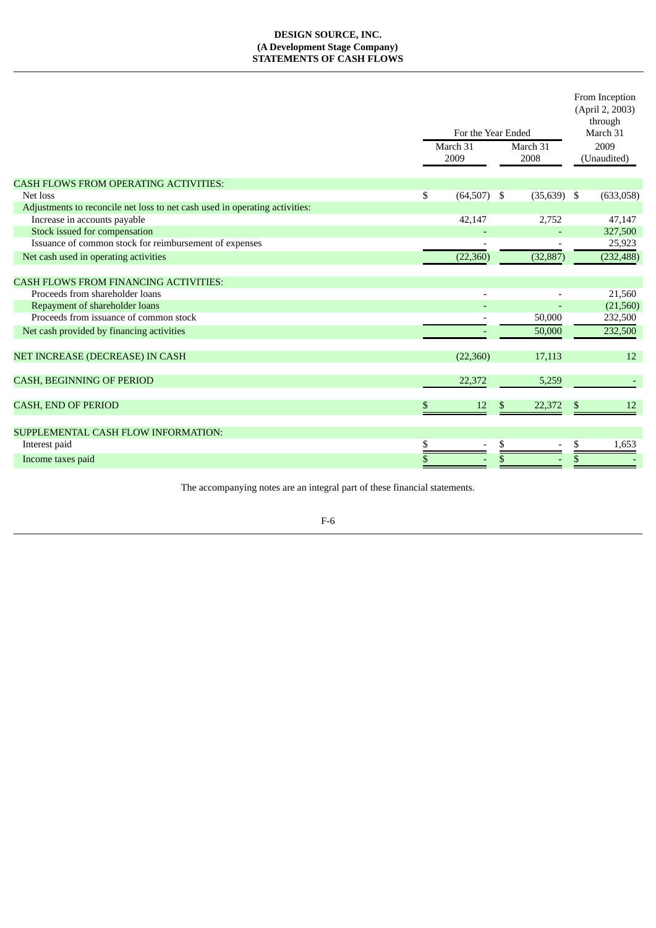## **DESIGN SOURCE, INC. (A Development Stage Company) STATEMENTS OF CASH FLOWS**

|                                                                             | For the Year Ended<br>March 31<br>2009 | March 31<br>2008 |               | From Inception<br>(April 2, 2003)<br>through<br>March 31<br>2009<br>(Unaudited) |            |
|-----------------------------------------------------------------------------|----------------------------------------|------------------|---------------|---------------------------------------------------------------------------------|------------|
| <b>CASH FLOWS FROM OPERATING ACTIVITIES:</b>                                |                                        |                  |               |                                                                                 |            |
| Net loss                                                                    | \$<br>$(64,507)$ \$                    |                  | $(35,639)$ \$ |                                                                                 | (633,058)  |
| Adjustments to reconcile net loss to net cash used in operating activities: |                                        |                  |               |                                                                                 |            |
| Increase in accounts payable                                                | 42,147                                 |                  | 2,752         |                                                                                 | 47,147     |
| Stock issued for compensation                                               |                                        |                  |               |                                                                                 | 327,500    |
| Issuance of common stock for reimbursement of expenses                      |                                        |                  |               |                                                                                 | 25,923     |
| Net cash used in operating activities                                       | (22, 360)                              |                  | (32, 887)     |                                                                                 | (232, 488) |
| <b>CASH FLOWS FROM FINANCING ACTIVITIES:</b>                                |                                        |                  |               |                                                                                 |            |
| Proceeds from shareholder loans                                             |                                        |                  |               |                                                                                 | 21,560     |
| Repayment of shareholder loans                                              |                                        |                  |               |                                                                                 | (21, 560)  |
| Proceeds from issuance of common stock                                      |                                        |                  | 50,000        |                                                                                 | 232,500    |
| Net cash provided by financing activities                                   |                                        |                  | 50,000        |                                                                                 | 232,500    |
| NET INCREASE (DECREASE) IN CASH                                             | (22,360)                               |                  | 17,113        |                                                                                 | 12         |
| <b>CASH, BEGINNING OF PERIOD</b>                                            | 22,372                                 |                  | 5,259         |                                                                                 |            |
| <b>CASH, END OF PERIOD</b>                                                  | \$<br>12                               | \$               | 22,372        | \$                                                                              | 12         |
| SUPPLEMENTAL CASH FLOW INFORMATION:                                         |                                        |                  |               |                                                                                 |            |
| Interest paid                                                               | \$<br>$\overline{a}$                   | \$               |               | \$                                                                              | 1,653      |
| Income taxes paid                                                           | \$                                     | \$               |               | \$                                                                              |            |
|                                                                             |                                        |                  |               |                                                                                 |            |

The accompanying notes are an integral part of these financial statements.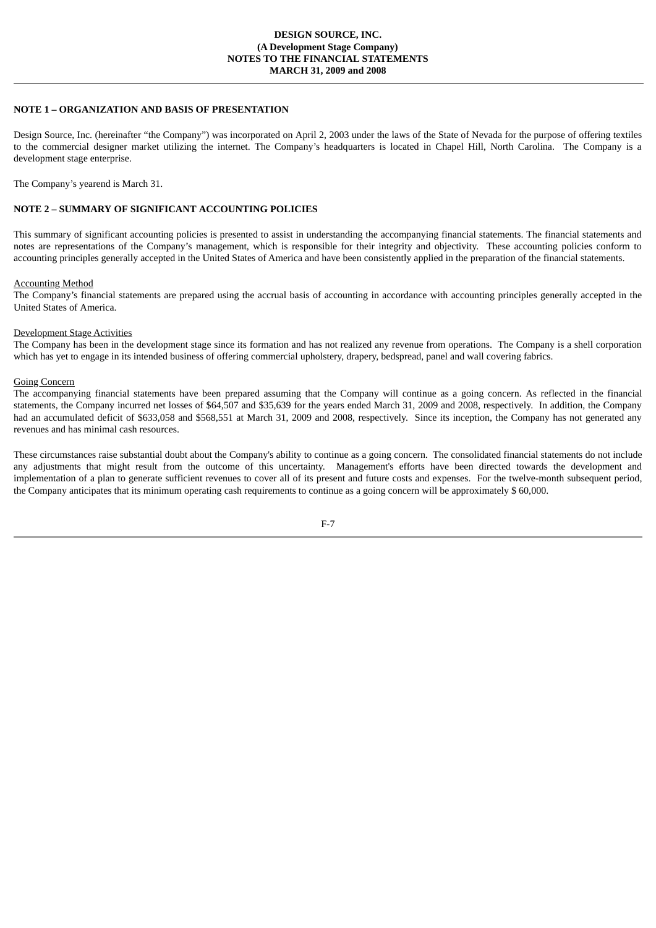#### **NOTE 1 – ORGANIZATION AND BASIS OF PRESENTATION**

Design Source, Inc. (hereinafter "the Company") was incorporated on April 2, 2003 under the laws of the State of Nevada for the purpose of offering textiles to the commercial designer market utilizing the internet. The Company's headquarters is located in Chapel Hill, North Carolina. The Company is a development stage enterprise.

The Company's yearend is March 31.

## **NOTE 2 – SUMMARY OF SIGNIFICANT ACCOUNTING POLICIES**

This summary of significant accounting policies is presented to assist in understanding the accompanying financial statements. The financial statements and notes are representations of the Company's management, which is responsible for their integrity and objectivity. These accounting policies conform to accounting principles generally accepted in the United States of America and have been consistently applied in the preparation of the financial statements.

#### Accounting Method

The Company's financial statements are prepared using the accrual basis of accounting in accordance with accounting principles generally accepted in the United States of America.

#### Development Stage Activities

The Company has been in the development stage since its formation and has not realized any revenue from operations. The Company is a shell corporation which has yet to engage in its intended business of offering commercial upholstery, drapery, bedspread, panel and wall covering fabrics.

### Going Concern

The accompanying financial statements have been prepared assuming that the Company will continue as a going concern. As reflected in the financial statements, the Company incurred net losses of \$64,507 and \$35,639 for the years ended March 31, 2009 and 2008, respectively. In addition, the Company had an accumulated deficit of \$633,058 and \$568,551 at March 31, 2009 and 2008, respectively. Since its inception, the Company has not generated any revenues and has minimal cash resources.

These circumstances raise substantial doubt about the Company's ability to continue as a going concern. The consolidated financial statements do not include any adjustments that might result from the outcome of this uncertainty. Management's efforts have been directed towards the development and implementation of a plan to generate sufficient revenues to cover all of its present and future costs and expenses. For the twelve-month subsequent period, the Company anticipates that its minimum operating cash requirements to continue as a going concern will be approximately \$ 60,000.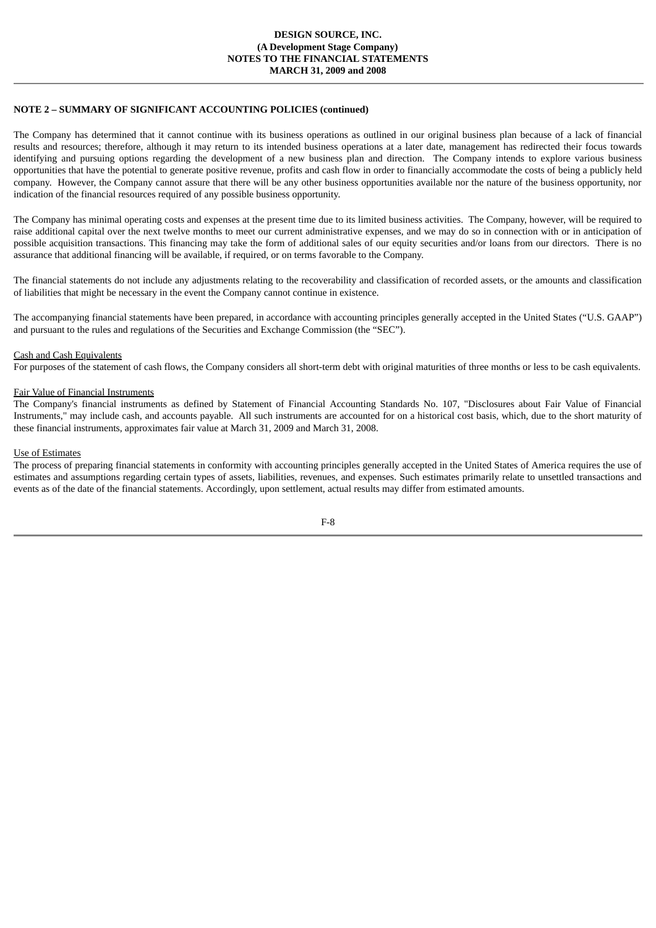### **DESIGN SOURCE, INC. (A Development Stage Company) NOTES TO THE FINANCIAL STATEMENTS MARCH 31, 2009 and 2008**

## **NOTE 2 – SUMMARY OF SIGNIFICANT ACCOUNTING POLICIES (continued)**

The Company has determined that it cannot continue with its business operations as outlined in our original business plan because of a lack of financial results and resources; therefore, although it may return to its intended business operations at a later date, management has redirected their focus towards identifying and pursuing options regarding the development of a new business plan and direction. The Company intends to explore various business opportunities that have the potential to generate positive revenue, profits and cash flow in order to financially accommodate the costs of being a publicly held company. However, the Company cannot assure that there will be any other business opportunities available nor the nature of the business opportunity, nor indication of the financial resources required of any possible business opportunity.

The Company has minimal operating costs and expenses at the present time due to its limited business activities. The Company, however, will be required to raise additional capital over the next twelve months to meet our current administrative expenses, and we may do so in connection with or in anticipation of possible acquisition transactions. This financing may take the form of additional sales of our equity securities and/or loans from our directors. There is no assurance that additional financing will be available, if required, or on terms favorable to the Company.

The financial statements do not include any adjustments relating to the recoverability and classification of recorded assets, or the amounts and classification of liabilities that might be necessary in the event the Company cannot continue in existence.

The accompanying financial statements have been prepared, in accordance with accounting principles generally accepted in the United States ("U.S. GAAP") and pursuant to the rules and regulations of the Securities and Exchange Commission (the "SEC").

#### Cash and Cash Equivalents

For purposes of the statement of cash flows, the Company considers all short-term debt with original maturities of three months or less to be cash equivalents.

#### Fair Value of Financial Instruments

The Company's financial instruments as defined by Statement of Financial Accounting Standards No. 107, "Disclosures about Fair Value of Financial Instruments," may include cash, and accounts payable. All such instruments are accounted for on a historical cost basis, which, due to the short maturity of these financial instruments, approximates fair value at March 31, 2009 and March 31, 2008.

#### Use of Estimates

The process of preparing financial statements in conformity with accounting principles generally accepted in the United States of America requires the use of estimates and assumptions regarding certain types of assets, liabilities, revenues, and expenses. Such estimates primarily relate to unsettled transactions and events as of the date of the financial statements. Accordingly, upon settlement, actual results may differ from estimated amounts.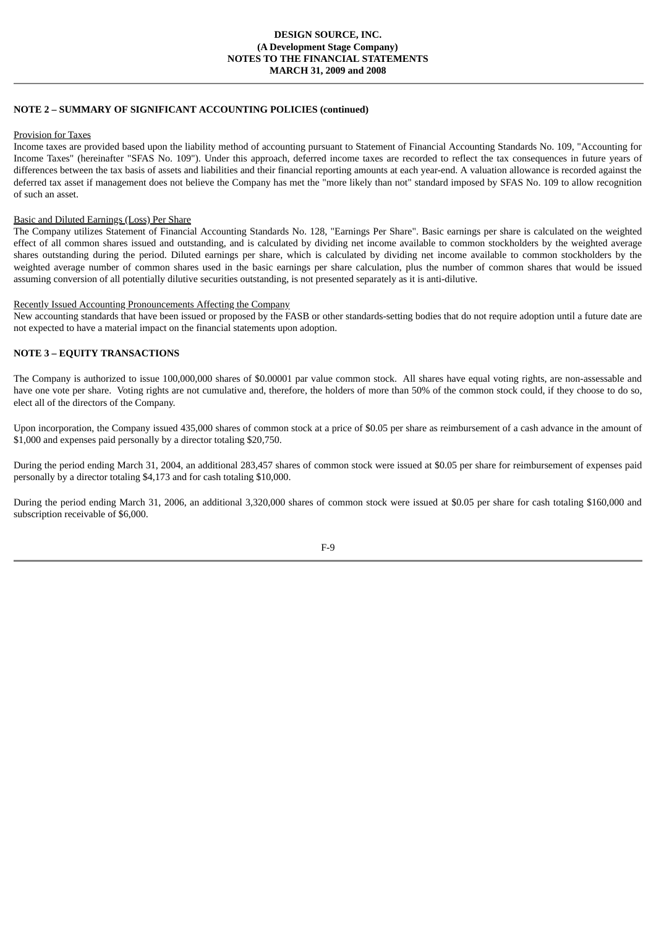## **NOTE 2 – SUMMARY OF SIGNIFICANT ACCOUNTING POLICIES (continued)**

#### Provision for Taxes

Income taxes are provided based upon the liability method of accounting pursuant to Statement of Financial Accounting Standards No. 109, "Accounting for Income Taxes" (hereinafter "SFAS No. 109"). Under this approach, deferred income taxes are recorded to reflect the tax consequences in future years of differences between the tax basis of assets and liabilities and their financial reporting amounts at each year-end. A valuation allowance is recorded against the deferred tax asset if management does not believe the Company has met the "more likely than not" standard imposed by SFAS No. 109 to allow recognition of such an asset.

#### Basic and Diluted Earnings (Loss) Per Share

The Company utilizes Statement of Financial Accounting Standards No. 128, "Earnings Per Share". Basic earnings per share is calculated on the weighted effect of all common shares issued and outstanding, and is calculated by dividing net income available to common stockholders by the weighted average shares outstanding during the period. Diluted earnings per share, which is calculated by dividing net income available to common stockholders by the weighted average number of common shares used in the basic earnings per share calculation, plus the number of common shares that would be issued assuming conversion of all potentially dilutive securities outstanding, is not presented separately as it is anti-dilutive.

#### Recently Issued Accounting Pronouncements Affecting the Company

New accounting standards that have been issued or proposed by the FASB or other standards-setting bodies that do not require adoption until a future date are not expected to have a material impact on the financial statements upon adoption.

## **NOTE 3 – EQUITY TRANSACTIONS**

The Company is authorized to issue 100,000,000 shares of \$0.00001 par value common stock. All shares have equal voting rights, are non-assessable and have one vote per share. Voting rights are not cumulative and, therefore, the holders of more than 50% of the common stock could, if they choose to do so, elect all of the directors of the Company.

Upon incorporation, the Company issued 435,000 shares of common stock at a price of \$0.05 per share as reimbursement of a cash advance in the amount of \$1,000 and expenses paid personally by a director totaling \$20,750.

During the period ending March 31, 2004, an additional 283,457 shares of common stock were issued at \$0.05 per share for reimbursement of expenses paid personally by a director totaling \$4,173 and for cash totaling \$10,000.

During the period ending March 31, 2006, an additional 3,320,000 shares of common stock were issued at \$0.05 per share for cash totaling \$160,000 and subscription receivable of \$6,000.

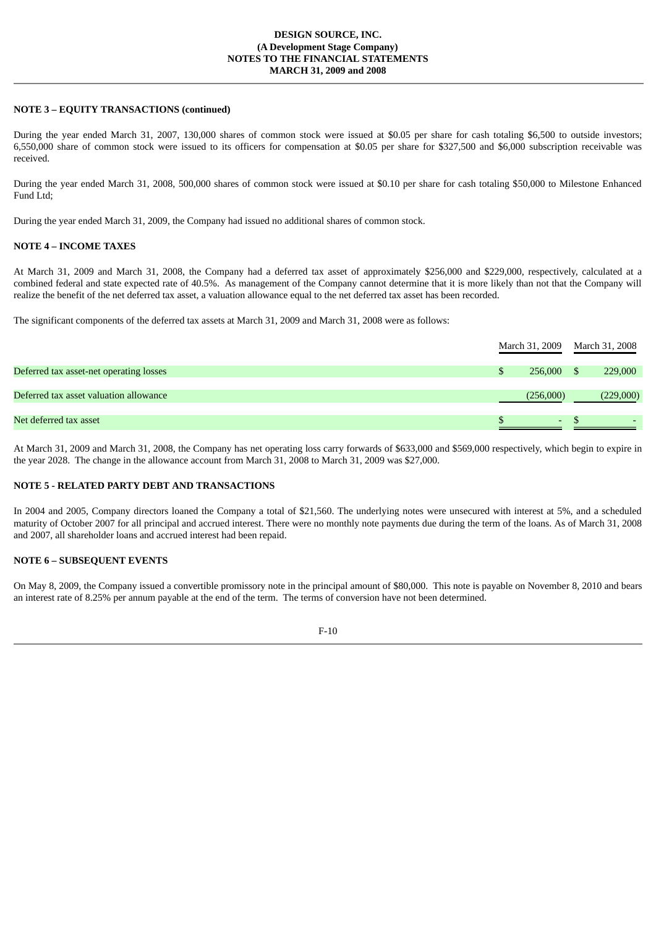### **DESIGN SOURCE, INC. (A Development Stage Company) NOTES TO THE FINANCIAL STATEMENTS MARCH 31, 2009 and 2008**

## **NOTE 3 – EQUITY TRANSACTIONS (continued)**

During the year ended March 31, 2007, 130,000 shares of common stock were issued at \$0.05 per share for cash totaling \$6,500 to outside investors; 6,550,000 share of common stock were issued to its officers for compensation at \$0.05 per share for \$327,500 and \$6,000 subscription receivable was received.

During the year ended March 31, 2008, 500,000 shares of common stock were issued at \$0.10 per share for cash totaling \$50,000 to Milestone Enhanced Fund Ltd;

During the year ended March 31, 2009, the Company had issued no additional shares of common stock.

## **NOTE 4 – INCOME TAXES**

At March 31, 2009 and March 31, 2008, the Company had a deferred tax asset of approximately \$256,000 and \$229,000, respectively, calculated at a combined federal and state expected rate of 40.5%. As management of the Company cannot determine that it is more likely than not that the Company will realize the benefit of the net deferred tax asset, a valuation allowance equal to the net deferred tax asset has been recorded.

The significant components of the deferred tax assets at March 31, 2009 and March 31, 2008 were as follows:

|                                         |  |           | March 31, 2009 March 31, 2008 |           |
|-----------------------------------------|--|-----------|-------------------------------|-----------|
| Deferred tax asset-net operating losses |  | 256,000   |                               | 229,000   |
| Deferred tax asset valuation allowance  |  | (256,000) |                               | (229,000) |
| Net deferred tax asset                  |  | ۰         |                               |           |

At March 31, 2009 and March 31, 2008, the Company has net operating loss carry forwards of \$633,000 and \$569,000 respectively, which begin to expire in the year 2028. The change in the allowance account from March 31, 2008 to March 31, 2009 was \$27,000.

#### **NOTE 5 - RELATED PARTY DEBT AND TRANSACTIONS**

In 2004 and 2005, Company directors loaned the Company a total of \$21,560. The underlying notes were unsecured with interest at 5%, and a scheduled maturity of October 2007 for all principal and accrued interest. There were no monthly note payments due during the term of the loans. As of March 31, 2008 and 2007, all shareholder loans and accrued interest had been repaid.

## **NOTE 6 – SUBSEQUENT EVENTS**

On May 8, 2009, the Company issued a convertible promissory note in the principal amount of \$80,000. This note is payable on November 8, 2010 and bears an interest rate of 8.25% per annum payable at the end of the term. The terms of conversion have not been determined.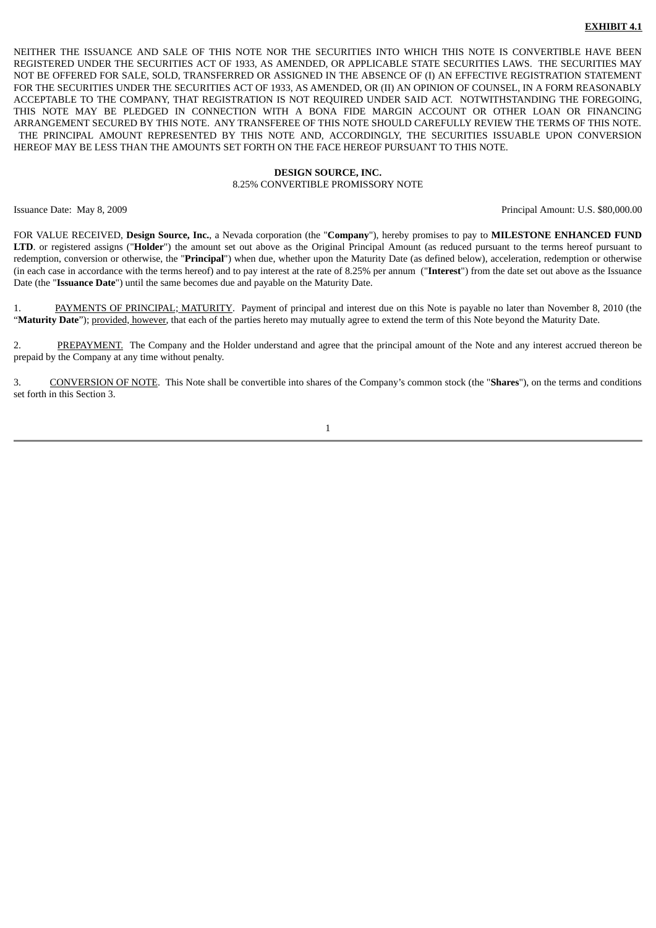#### **EXHIBIT 4.1**

NEITHER THE ISSUANCE AND SALE OF THIS NOTE NOR THE SECURITIES INTO WHICH THIS NOTE IS CONVERTIBLE HAVE BEEN REGISTERED UNDER THE SECURITIES ACT OF 1933, AS AMENDED, OR APPLICABLE STATE SECURITIES LAWS. THE SECURITIES MAY NOT BE OFFERED FOR SALE, SOLD, TRANSFERRED OR ASSIGNED IN THE ABSENCE OF (I) AN EFFECTIVE REGISTRATION STATEMENT FOR THE SECURITIES UNDER THE SECURITIES ACT OF 1933, AS AMENDED, OR (II) AN OPINION OF COUNSEL, IN A FORM REASONABLY ACCEPTABLE TO THE COMPANY, THAT REGISTRATION IS NOT REQUIRED UNDER SAID ACT. NOTWITHSTANDING THE FOREGOING, THIS NOTE MAY BE PLEDGED IN CONNECTION WITH A BONA FIDE MARGIN ACCOUNT OR OTHER LOAN OR FINANCING ARRANGEMENT SECURED BY THIS NOTE. ANY TRANSFEREE OF THIS NOTE SHOULD CAREFULLY REVIEW THE TERMS OF THIS NOTE. THE PRINCIPAL AMOUNT REPRESENTED BY THIS NOTE AND, ACCORDINGLY, THE SECURITIES ISSUABLE UPON CONVERSION HEREOF MAY BE LESS THAN THE AMOUNTS SET FORTH ON THE FACE HEREOF PURSUANT TO THIS NOTE.

#### **DESIGN SOURCE, INC.** 8.25% CONVERTIBLE PROMISSORY NOTE

Issuance Date: May 8, 2009 Principal Amount: U.S. \$80,000.00

FOR VALUE RECEIVED, **Design Source, Inc.**, a Nevada corporation (the "**Company**"), hereby promises to pay to **MILESTONE ENHANCED FUND LTD**. or registered assigns ("**Holder**") the amount set out above as the Original Principal Amount (as reduced pursuant to the terms hereof pursuant to redemption, conversion or otherwise, the "**Principal**") when due, whether upon the Maturity Date (as defined below), acceleration, redemption or otherwise (in each case in accordance with the terms hereof) and to pay interest at the rate of 8.25% per annum ("**Interest**") from the date set out above as the Issuance Date (the "**Issuance Date**") until the same becomes due and payable on the Maturity Date.

1. PAYMENTS OF PRINCIPAL; MATURITY. Payment of principal and interest due on this Note is payable no later than November 8, 2010 (the "**Maturity Date**"); provided, however, that each of the parties hereto may mutually agree to extend the term of this Note beyond the Maturity Date.

2. PREPAYMENT. The Company and the Holder understand and agree that the principal amount of the Note and any interest accrued thereon be prepaid by the Company at any time without penalty.

3. CONVERSION OF NOTE. This Note shall be convertible into shares of the Company's common stock (the "**Shares**"), on the terms and conditions set forth in this Section 3.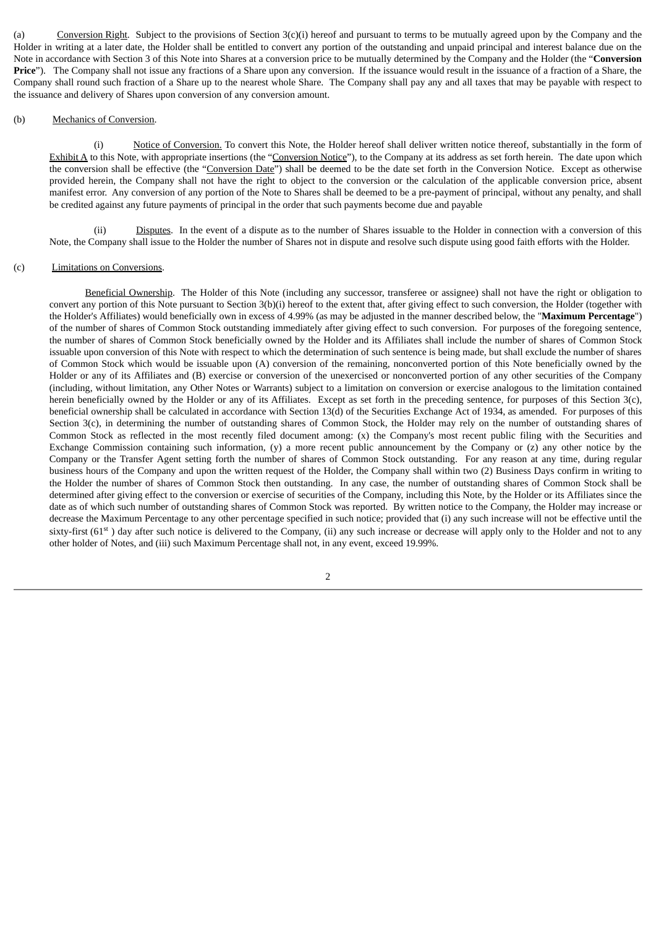(a) Conversion Right. Subject to the provisions of Section 3(c)(i) hereof and pursuant to terms to be mutually agreed upon by the Company and the Holder in writing at a later date, the Holder shall be entitled to convert any portion of the outstanding and unpaid principal and interest balance due on the Note in accordance with Section 3 of this Note into Shares at a conversion price to be mutually determined by the Company and the Holder (the "**Conversion Price**"). The Company shall not issue any fractions of a Share upon any conversion. If the issuance would result in the issuance of a fraction of a Share, the Company shall round such fraction of a Share up to the nearest whole Share. The Company shall pay any and all taxes that may be payable with respect to the issuance and delivery of Shares upon conversion of any conversion amount.

#### (b) Mechanics of Conversion.

(i) Notice of Conversion. To convert this Note, the Holder hereof shall deliver written notice thereof, substantially in the form of Exhibit A to this Note, with appropriate insertions (the "Conversion Notice"), to the Company at its address as set forth herein. The date upon which the conversion shall be effective (the "Conversion Date") shall be deemed to be the date set forth in the Conversion Notice. Except as otherwise provided herein, the Company shall not have the right to object to the conversion or the calculation of the applicable conversion price, absent manifest error. Any conversion of any portion of the Note to Shares shall be deemed to be a pre-payment of principal, without any penalty, and shall be credited against any future payments of principal in the order that such payments become due and payable

(ii) Disputes. In the event of a dispute as to the number of Shares issuable to the Holder in connection with a conversion of this Note, the Company shall issue to the Holder the number of Shares not in dispute and resolve such dispute using good faith efforts with the Holder.

## (c) Limitations on Conversions.

Beneficial Ownership. The Holder of this Note (including any successor, transferee or assignee) shall not have the right or obligation to convert any portion of this Note pursuant to Section 3(b)(i) hereof to the extent that, after giving effect to such conversion, the Holder (together with the Holder's Affiliates) would beneficially own in excess of 4.99% (as may be adjusted in the manner described below, the "**Maximum Percentage**") of the number of shares of Common Stock outstanding immediately after giving effect to such conversion. For purposes of the foregoing sentence, the number of shares of Common Stock beneficially owned by the Holder and its Affiliates shall include the number of shares of Common Stock issuable upon conversion of this Note with respect to which the determination of such sentence is being made, but shall exclude the number of shares of Common Stock which would be issuable upon (A) conversion of the remaining, nonconverted portion of this Note beneficially owned by the Holder or any of its Affiliates and (B) exercise or conversion of the unexercised or nonconverted portion of any other securities of the Company (including, without limitation, any Other Notes or Warrants) subject to a limitation on conversion or exercise analogous to the limitation contained herein beneficially owned by the Holder or any of its Affiliates. Except as set forth in the preceding sentence, for purposes of this Section 3(c), beneficial ownership shall be calculated in accordance with Section 13(d) of the Securities Exchange Act of 1934, as amended. For purposes of this Section 3(c), in determining the number of outstanding shares of Common Stock, the Holder may rely on the number of outstanding shares of Common Stock as reflected in the most recently filed document among: (x) the Company's most recent public filing with the Securities and Exchange Commission containing such information, (y) a more recent public announcement by the Company or (z) any other notice by the Company or the Transfer Agent setting forth the number of shares of Common Stock outstanding. For any reason at any time, during regular business hours of the Company and upon the written request of the Holder, the Company shall within two (2) Business Days confirm in writing to the Holder the number of shares of Common Stock then outstanding. In any case, the number of outstanding shares of Common Stock shall be determined after giving effect to the conversion or exercise of securities of the Company, including this Note, by the Holder or its Affiliates since the date as of which such number of outstanding shares of Common Stock was reported. By written notice to the Company, the Holder may increase or decrease the Maximum Percentage to any other percentage specified in such notice; provided that (i) any such increase will not be effective until the sixty-first (61<sup>st</sup>) day after such notice is delivered to the Company, (ii) any such increase or decrease will apply only to the Holder and not to any other holder of Notes, and (iii) such Maximum Percentage shall not, in any event, exceed 19.99%.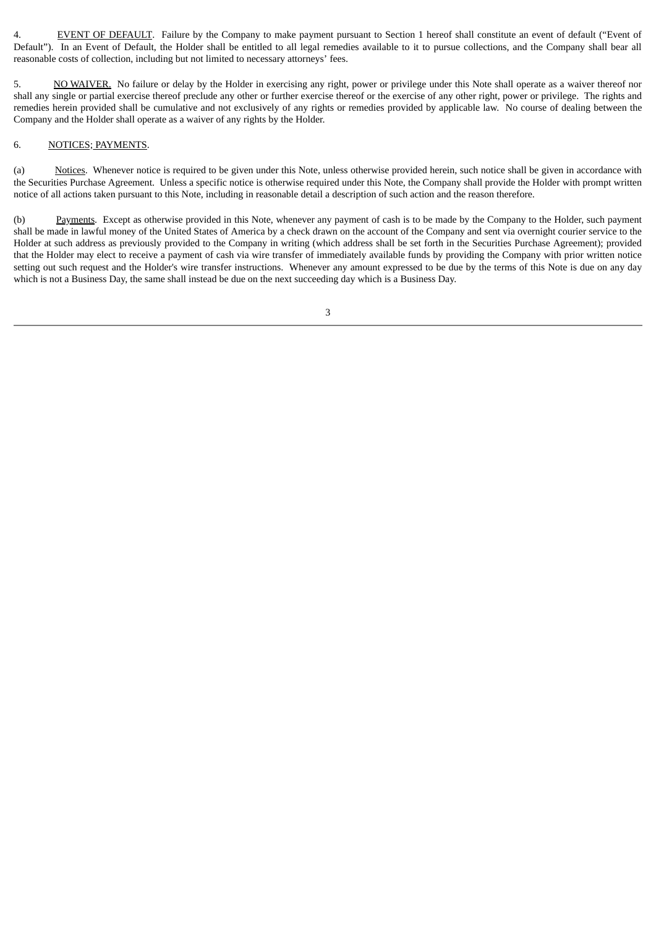4. EVENT OF DEFAULT. Failure by the Company to make payment pursuant to Section 1 hereof shall constitute an event of default ("Event of Default"). In an Event of Default, the Holder shall be entitled to all legal remedies available to it to pursue collections, and the Company shall bear all reasonable costs of collection, including but not limited to necessary attorneys' fees.

5. NO WAIVER. No failure or delay by the Holder in exercising any right, power or privilege under this Note shall operate as a waiver thereof nor shall any single or partial exercise thereof preclude any other or further exercise thereof or the exercise of any other right, power or privilege. The rights and remedies herein provided shall be cumulative and not exclusively of any rights or remedies provided by applicable law. No course of dealing between the Company and the Holder shall operate as a waiver of any rights by the Holder.

#### 6. NOTICES; PAYMENTS.

(a) Notices. Whenever notice is required to be given under this Note, unless otherwise provided herein, such notice shall be given in accordance with the Securities Purchase Agreement. Unless a specific notice is otherwise required under this Note, the Company shall provide the Holder with prompt written notice of all actions taken pursuant to this Note, including in reasonable detail a description of such action and the reason therefore.

(b) Payments. Except as otherwise provided in this Note, whenever any payment of cash is to be made by the Company to the Holder, such payment shall be made in lawful money of the United States of America by a check drawn on the account of the Company and sent via overnight courier service to the Holder at such address as previously provided to the Company in writing (which address shall be set forth in the Securities Purchase Agreement); provided that the Holder may elect to receive a payment of cash via wire transfer of immediately available funds by providing the Company with prior written notice setting out such request and the Holder's wire transfer instructions. Whenever any amount expressed to be due by the terms of this Note is due on any day which is not a Business Day, the same shall instead be due on the next succeeding day which is a Business Day.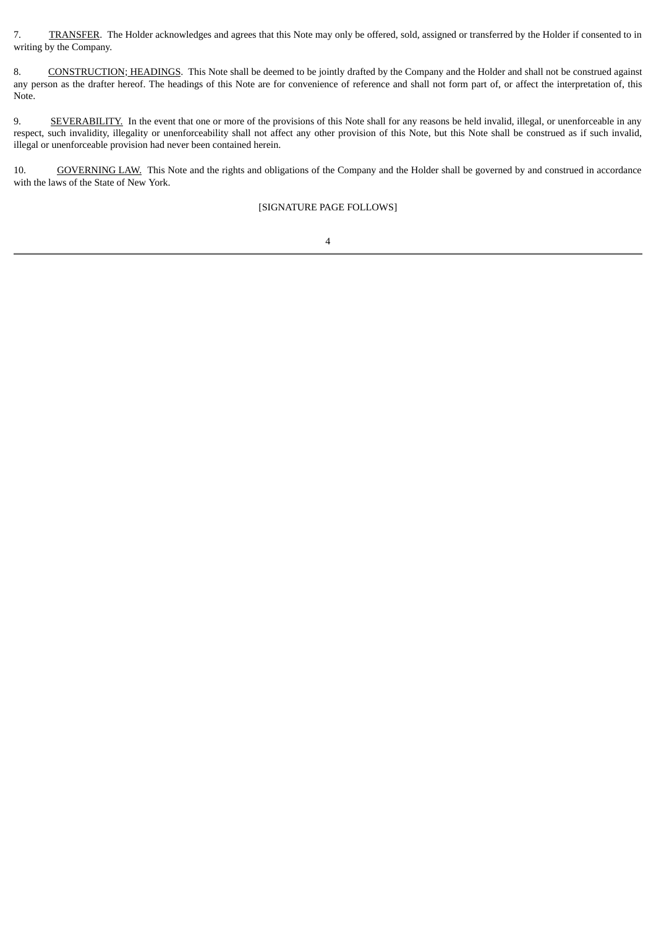7. TRANSFER. The Holder acknowledges and agrees that this Note may only be offered, sold, assigned or transferred by the Holder if consented to in writing by the Company.

8. CONSTRUCTION; HEADINGS. This Note shall be deemed to be jointly drafted by the Company and the Holder and shall not be construed against any person as the drafter hereof. The headings of this Note are for convenience of reference and shall not form part of, or affect the interpretation of, this Note.

9. SEVERABILITY. In the event that one or more of the provisions of this Note shall for any reasons be held invalid, illegal, or unenforceable in any respect, such invalidity, illegality or unenforceability shall not affect any other provision of this Note, but this Note shall be construed as if such invalid, illegal or unenforceable provision had never been contained herein.

10. GOVERNING LAW. This Note and the rights and obligations of the Company and the Holder shall be governed by and construed in accordance with the laws of the State of New York.

[SIGNATURE PAGE FOLLOWS]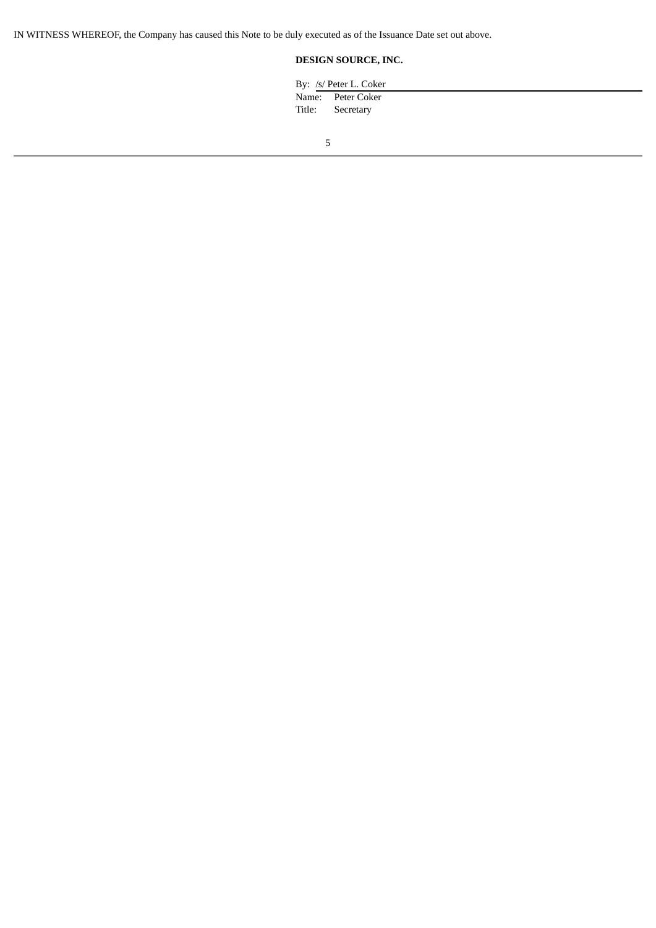IN WITNESS WHEREOF, the Company has caused this Note to be duly executed as of the Issuance Date set out above.

# **DESIGN SOURCE, INC.**

| By: /s/ Peter L. Coker                |  |
|---------------------------------------|--|
| Name: Peter Coker<br>Title: Secretary |  |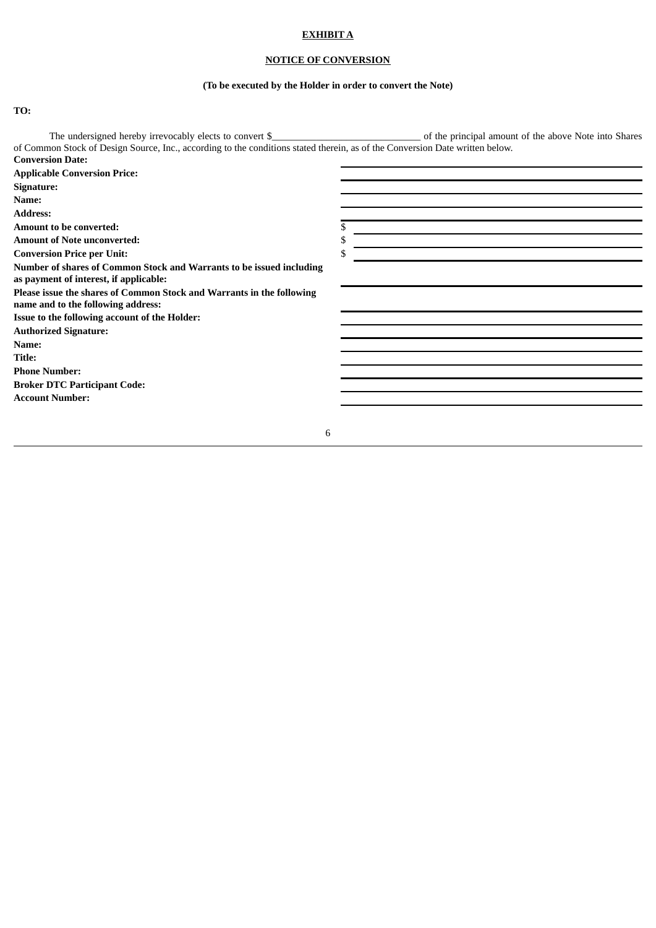# **EXHIBIT A**

# **NOTICE OF CONVERSION**

# **(To be executed by the Holder in order to convert the Note)**

**TO:**

| The undersigned hereby irrevocably elects to convert \$                                                                      | of the principal amount of the above Note into Shares |
|------------------------------------------------------------------------------------------------------------------------------|-------------------------------------------------------|
| of Common Stock of Design Source, Inc., according to the conditions stated therein, as of the Conversion Date written below. |                                                       |
| <b>Conversion Date:</b>                                                                                                      |                                                       |
| <b>Applicable Conversion Price:</b>                                                                                          |                                                       |
| Signature:                                                                                                                   |                                                       |
| Name:                                                                                                                        |                                                       |
| <b>Address:</b>                                                                                                              |                                                       |
| Amount to be converted:                                                                                                      |                                                       |
| <b>Amount of Note unconverted:</b>                                                                                           |                                                       |
| <b>Conversion Price per Unit:</b>                                                                                            |                                                       |
| Number of shares of Common Stock and Warrants to be issued including<br>as payment of interest, if applicable:               |                                                       |
| Please issue the shares of Common Stock and Warrants in the following<br>name and to the following address:                  |                                                       |
| Issue to the following account of the Holder:                                                                                |                                                       |
| <b>Authorized Signature:</b>                                                                                                 |                                                       |
| Name:                                                                                                                        |                                                       |
| Title:                                                                                                                       |                                                       |
| <b>Phone Number:</b>                                                                                                         |                                                       |
| <b>Broker DTC Participant Code:</b>                                                                                          |                                                       |
| <b>Account Number:</b>                                                                                                       |                                                       |
|                                                                                                                              |                                                       |
| 6                                                                                                                            |                                                       |
|                                                                                                                              |                                                       |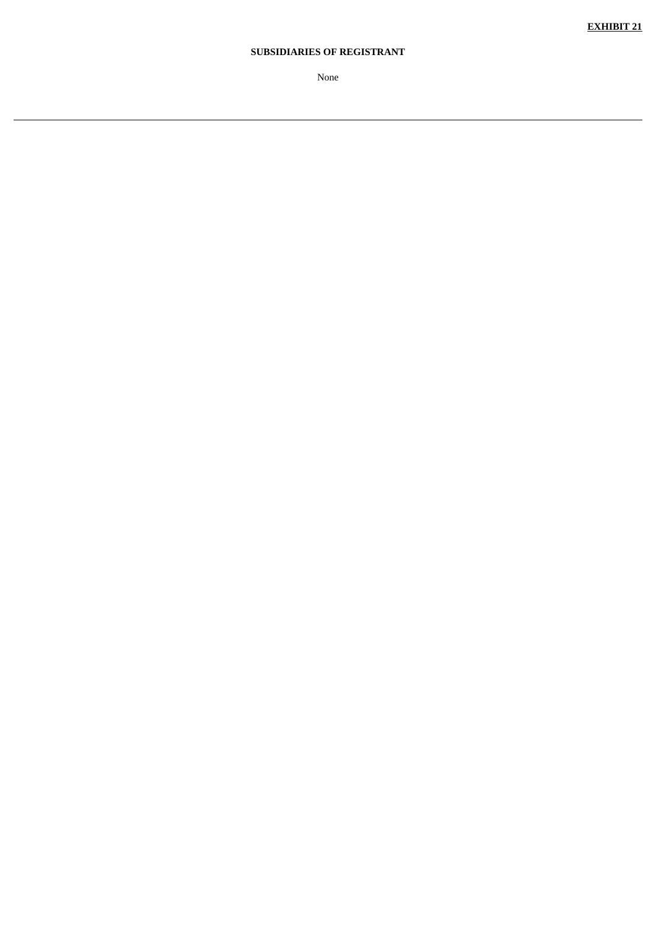# **SUBSIDIARIES OF REGISTRANT**

None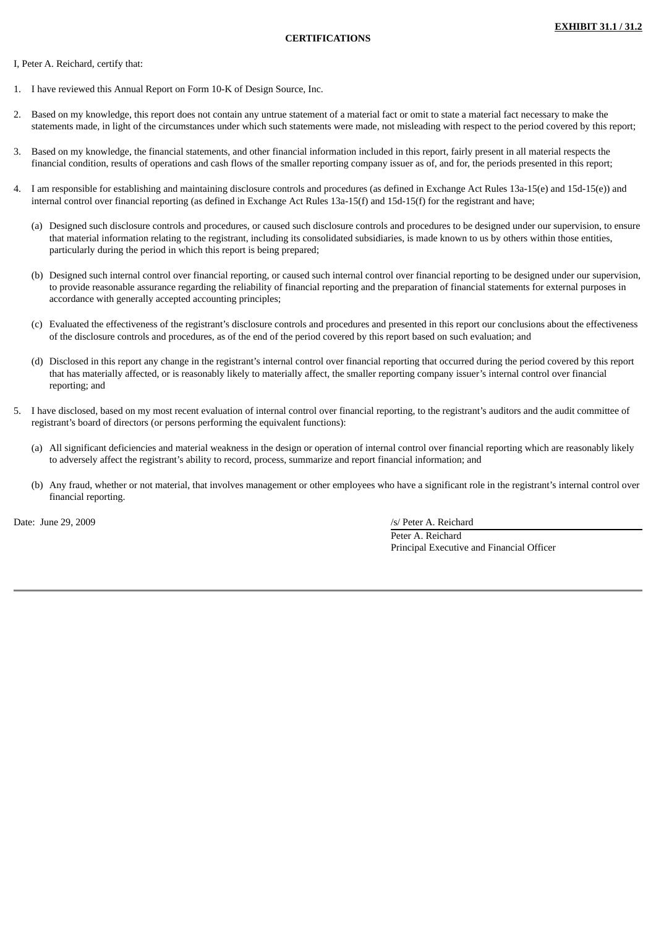#### I, Peter A. Reichard, certify that:

- 1. I have reviewed this Annual Report on Form 10-K of Design Source, Inc.
- 2. Based on my knowledge, this report does not contain any untrue statement of a material fact or omit to state a material fact necessary to make the statements made, in light of the circumstances under which such statements were made, not misleading with respect to the period covered by this report;
- 3. Based on my knowledge, the financial statements, and other financial information included in this report, fairly present in all material respects the financial condition, results of operations and cash flows of the smaller reporting company issuer as of, and for, the periods presented in this report;
- I am responsible for establishing and maintaining disclosure controls and procedures (as defined in Exchange Act Rules 13a-15(e) and 15d-15(e)) and internal control over financial reporting (as defined in Exchange Act Rules 13a-15(f) and 15d-15(f) for the registrant and have;
	- (a) Designed such disclosure controls and procedures, or caused such disclosure controls and procedures to be designed under our supervision, to ensure that material information relating to the registrant, including its consolidated subsidiaries, is made known to us by others within those entities, particularly during the period in which this report is being prepared;
	- (b) Designed such internal control over financial reporting, or caused such internal control over financial reporting to be designed under our supervision, to provide reasonable assurance regarding the reliability of financial reporting and the preparation of financial statements for external purposes in accordance with generally accepted accounting principles;
	- (c) Evaluated the effectiveness of the registrant's disclosure controls and procedures and presented in this report our conclusions about the effectiveness of the disclosure controls and procedures, as of the end of the period covered by this report based on such evaluation; and
	- (d) Disclosed in this report any change in the registrant's internal control over financial reporting that occurred during the period covered by this report that has materially affected, or is reasonably likely to materially affect, the smaller reporting company issuer's internal control over financial reporting; and
- 5. I have disclosed, based on my most recent evaluation of internal control over financial reporting, to the registrant's auditors and the audit committee of registrant's board of directors (or persons performing the equivalent functions):
	- (a) All significant deficiencies and material weakness in the design or operation of internal control over financial reporting which are reasonably likely to adversely affect the registrant's ability to record, process, summarize and report financial information; and
	- (b) Any fraud, whether or not material, that involves management or other employees who have a significant role in the registrant's internal control over financial reporting.

Date: June 29, 2009 /s/ Peter A. Reichard

Peter A. Reichard Principal Executive and Financial Officer